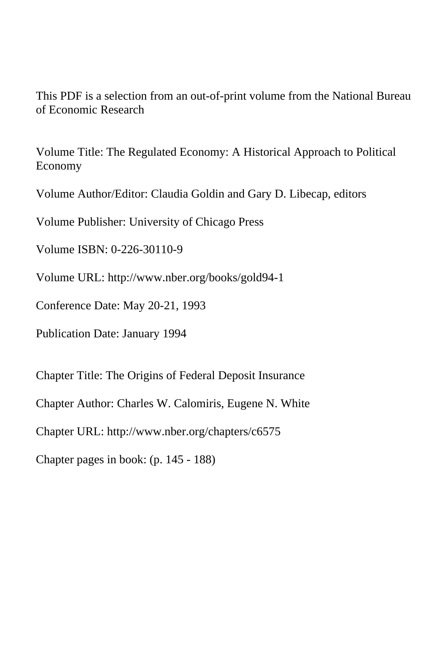This PDF is a selection from an out-of-print volume from the National Bureau of Economic Research

Volume Title: The Regulated Economy: A Historical Approach to Political Economy

Volume Author/Editor: Claudia Goldin and Gary D. Libecap, editors

Volume Publisher: University of Chicago Press

Volume ISBN: 0-226-30110-9

Volume URL: http://www.nber.org/books/gold94-1

Conference Date: May 20-21, 1993

Publication Date: January 1994

Chapter Title: The Origins of Federal Deposit Insurance

Chapter Author: Charles W. Calomiris, Eugene N. White

Chapter URL: http://www.nber.org/chapters/c6575

Chapter pages in book: (p. 145 - 188)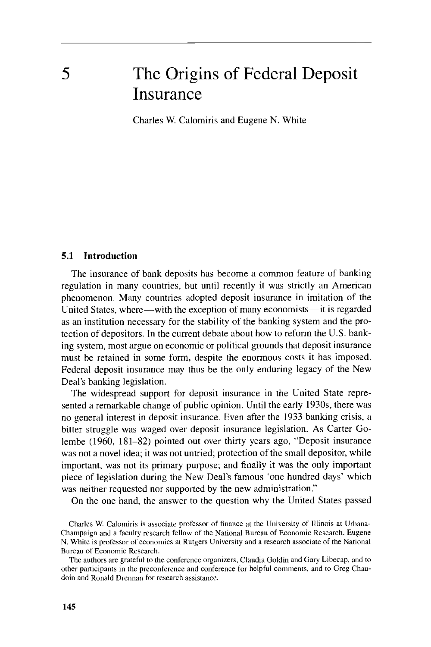# 5 The Origins of Federal Deposit **Insurance**

Charles W. Calomiris and Eugene N. White

### **5.1 Introduction**

The insurance of bank deposits has become a common feature of banking regulation in many countries, but until recently it was strictly an American phenomenon. Many countries adopted deposit insurance in imitation of the United States, where—with the exception of many economists—it is regarded as an institution necessary for the stability of the banking system and the protection of depositors. In the current debate about how to reform the U.S. banking system, most argue on economic or political grounds that deposit insurance must be retained in some form, despite the enormous costs it has imposed. Federal deposit insurance may thus be the only enduring legacy of the New Deal's banking legislation.

The widespread support for deposit insurance in the United State represented a remarkable change of public opinion. Until the early 193Os, there was no general interest in deposit insurance. Even after the 1933 banking crisis, a bitter struggle was waged over deposit insurance legislation. As Carter *Go*lembe (1960, 181-82) pointed out over thirty years ago, "Deposit insurance was not a novel idea; it was not untried; protection of the small depositor, while important, was not its primary purpose; and finally it was the only important piece of legislation during the New Deal's famous 'one hundred days' which was neither requested nor supported by the new administration."

On the one hand, the answer to the question why the United States passed

Charles W. Calomiris is associate professor of finance at the University of Illinois at Urbana-Champaign and a faculty research fellow of the National Bureau of Economic Research. Eugene N. White is professor of economics at Rutgers University and a research associate of the National Bureau of Economic Research.

The authors are grateful to the conference organizers, Claudia Goldin and **Gary** Libecap, and to other participants in the preconference and conference for helpful comments, and to Greg Chaudoin and Ronald Drennan for research assistance.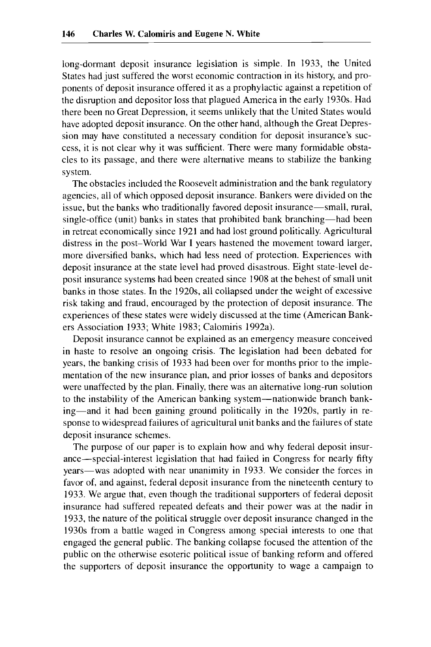long-dormant deposit insurance legislation is simple. In 1933, the United States had just suffered the worst economic contraction in its history, and proponents of deposit insurance offered it as a prophylactic against a repetition of the disruption and depositor loss that plagued America in the early 1930s. Had there been no Great Depression, it seems unlikely that the United States would have adopted deposit insurance. On the other hand, although the Great Depression may have constituted a necessary condition for deposit insurance's success, it is not clear why it was sufficient. There were many formidable obstacles to its passage, and there were alternative means to stabilize the banking system.

The obstacles included the Roosevelt administration and the bank regulatory agencies, all of which opposed deposit insurance. Bankers were divided on the issue, but the banks who traditionally favored deposit insurance—small, rural, single-office (unit) banks in states that prohibited bank branching—had been in retreat economically since 1921 and had lost ground politically. Agricultural distress in the post-World War **I** years hastened the movement toward larger, more diversified banks, which had less need of protection. Experiences with deposit insurance at the state level had proved disastrous. Eight state-level deposit insurance systems had been created since 1908 at the behest of small unit banks in those states. In the 1920s, all collapsed under the weight of excessive risk taking and fraud, encouraged by the protection of deposit insurance. The experiences of these states were widely discussed at the time (American Bankers Association 1933; White 1983; Calomiris 1992a).

Deposit insurance cannot be explained as an emergency measure conceived in haste to resolve an ongoing crisis. The legislation had been debated for years, the banking crisis of 1933 had been over for months prior to the implementation of the new insurance plan, and prior losses of banks and depositors were unaffected by the plan. Finally, there was an alternative long-run solution to the instability of the American banking system—nationwide branch banking-and it had been gaining ground politically in the 192Os, partly in response to widespread failures of agricultural unit banks and the failures of state deposit insurance schemes.

The purpose of our paper is to explain how and why federal deposit insurance-special-interest legislation that had failed in Congress for nearly fifty years—was adopted with near unanimity in 1933. We consider the forces in favor of, and against, federal deposit insurance from the nineteenth century to 1933. We argue that, even though the traditional supporters of federal deposit insurance had suffered repeated defeats and their power was at the nadir in 1933, the nature of the political struggle over deposit insurance changed in the 1930s from a battle waged in Congress among special interests to one that engaged the general public. The banking collapse focused the attention of the public on the otherwise esoteric political issue of banking reform and offered the supporters of deposit insurance the opportunity to wage a campaign to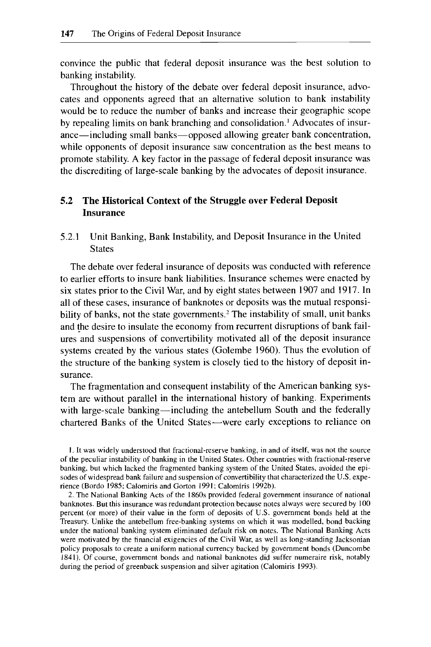convince the public that federal deposit insurance was the best solution to banking instability.

Throughout the history of the debate over federal deposit insurance, advocates and opponents agreed that an alternative solution to bank instability would be to reduce the number of banks and increase their geographic scope by repealing limits on bank branching and consolidation.' Advocates of insurance—including small banks—opposed allowing greater bank concentration, while opponents of deposit insurance saw concentration as the best means to promote stability. **A** key factor in the passage of federal deposit insurance was the discrediting of large-scale banking by the advocates of deposit insurance.

### **5.2 The Historical Context of the Struggle over Federal Deposit Insurance**

5.2.1 Unit Banking, Bank Instability, and Deposit Insurance in the United **States** 

The debate over federal insurance of deposits was conducted with reference to earlier efforts to insure bank liabilities. Insurance schemes were enacted by six states prior to the Civil War, and by eight states between 1907 and 1917. In all of these cases, insurance of banknotes or deposits was the mutual responsibility of banks, not the state governments.<sup>2</sup> The instability of small, unit banks and the desire to insulate the economy from recurrent disruptions of bank failures and suspensions of convertibility motivated all of the deposit insurance systems created by the various states (Golembe 1960). Thus the evolution of the structure of the banking system is closely tied to the history of deposit insurance.

The fragmentation and consequent instability of the American banking system are without parallel in the international history of banking. Experiments with large-scale banking-including the antebellum South and the federally chartered Banks of the United States—were early exceptions to reliance on

I. It was widely understood that fractional-reserve banking, in and of itself, was not the source of the peculiar instability of banking in the United States. Other countries with fractional-reserve banking, but which lacked the fragmented banking system of the United States, avoided the episodes of widespread bank failure and suspension of convertibility that characterized the U.S. experience (Bordo 1985; Calomiris and Gorton 1991; Calomiris 1992b).

**2.** The National Banking Acts of the 1860s provided federal government insurance of national banknotes. But this insurance was redundant protection because notes always were secured by 100 percent (or more) of their value in the form of deposits of US. government bonds held at the Treasury. Unlike the antebellum free-banking systems on which it was modelled, bond backing under the national banking system eliminated default risk on notes. The National Banking Acts were motivated by the financial exigencies of the Civil War, as well as long-standing Jacksonian policy proposals to create a uniform national currency backed by government bonds (Duncombe 1841). Of course, government bonds and national banknotes did suffer numeraire risk, notably during the period of greenback suspension and silver agitation (Calomiris 1993).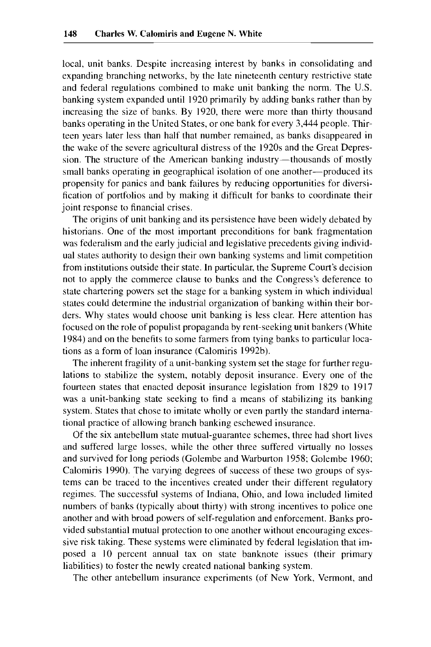local, unit banks. Despite increasing interest by banks in consolidating and expanding branching networks, by the late nineteenth century restrictive state and federal regulations combined to make unit banking the norm. The U.S. banking system expanded until 1920 primarily by adding banks rather than by increasing the size of banks. By 1920, there were more than thirty thousand banks operating in the United States, or one bank for every 3,444 people. Thirteen years later less than half that number remained, as banks disappeared in the wake of the severe agricultural distress of the 1920s and the Great Depression. The structure of the American banking industry—thousands of mostly small banks operating in geographical isolation of one another—produced its propensity for panics and bank failures by reducing opportunities for diversification of portfolios and by making it difficult for banks to coordinate their joint response to financial crises.

The origins of unit banking and its persistence have been widely debated by historians. One of the most important preconditions for bank fragmentation was federalism and the early judicial and legislative precedents giving individual states authority to design their own banking systems and limit competition from institutions outside their state. In particular, the Supreme Court's decision not to apply the commerce clause to banks and the Congress's deference to state chartering powers set the stage for a banking system in which individual states could determine the industrial organization of banking within their borders. Why states would choose unit banking is less clear. Here attention has focused on the role of populist propaganda by rent-seeking unit bankers (White 1984) and on the benefits to some farmers from tying banks to particular locations as a form of loan insurance (Calomiris 1992b).

The inherent fragility of a unit-banking system set the stage for further regulations to stabilize the system, notably deposit insurance. Every one of the fourteen states that enacted deposit insurance legislation from 1829 to 1917 was a unit-banking state seeking to find a means of stabilizing its banking system. States that chose to imitate wholly or even partly the standard international practice of allowing branch banking eschewed insurance.

Of the six antebellum state mutual-guarantee schemes, three had short lives and suffered large losses, while the other three suffered virtually no losses and survived for long periods (Golembe and Warburton 1958; Golembe 1960; Calomiris 1990). The varying degrees of success of these two groups of systems can be traced to the incentives created under their different regulatory regimes. The successful systems of Indiana, Ohio, and Iowa included limited numbers of banks (typically about thirty) with strong incentives to police one another and with broad powers of self-regulation and enforcement. Banks provided substantial mutual protection to one another without encouraging excessive risk taking. These systems were eliminated by federal legislation that imposed a 10 percent annual tax on state banknote issues (their primary liabilities) to foster the newly created national banking system.

The other antebellum insurance experiments (of New York, Vermont, and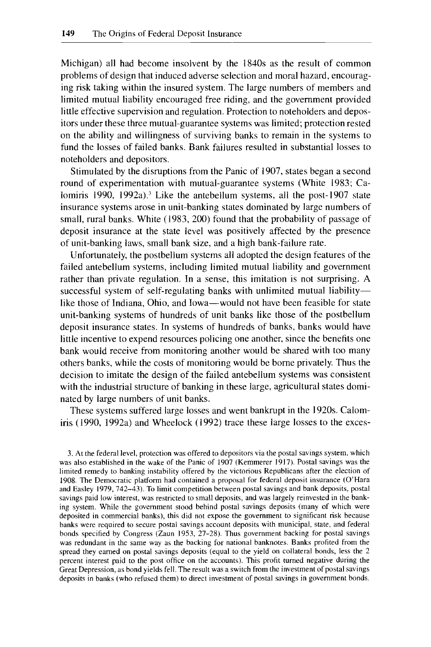Michigan) all had become insolvent by the 1840s as the result of common problems of design that induced adverse selection and moral hazard, encouraging risk taking within the insured system. The large numbers of members and limited mutual liability encouraged free riding, and the government provided little effective supervision and regulation. Protection to noteholders and depositors under these three mutual-guarantee systems was limited; protection rested on the ability and willingness of surviving banks to remain in the systems to fund the losses of failed banks. Bank failures resulted in substantial losses to noteholders and depositors.

Stimulated by the disruptions from the Panic of 1907, states began a second round of experimentation with mutual-guarantee systems (White 1983; Calomiris 1990, 1992a).<sup>3</sup> Like the antebellum systems, all the post-1907 state insurance systems arose in unit-banking states dominated by large numbers of small, rural banks. White (1983, 200) found that the probability of passage of deposit insurance at the state level was positively affected by the presence of unit-banking laws, small bank size, and a high bank-failure rate.

Unfortunately, the postbellum systems all adopted the design features of the failed antebellum systems, including limited mutual liability and government rather than private regulation. In a sense, this imitation is not surprising. **A**  successful system of self-regulating banks with unlimited mutual liabilitylike those of Indiana, Ohio, and Iowa—would not have been feasible for state unit-banking systems of hundreds of unit banks like those of the postbellum deposit insurance states. In systems of hundreds of banks, banks would have little incentive to expend resources policing one another, since the benefits one bank would receive from monitoring another would be shared with too many others banks, while the costs of monitoring would be borne privately. Thus the decision to imitate the design of the failed antebellum systems was consistent with the industrial structure of banking in these large, agricultural states dominated by large numbers of unit banks.

These systems suffered large losses and went bankrupt in the 1920s. Calomiris (1990, 1992a) and Wheelock (1992) trace these large losses to the exces-

3. At the federal level, protection was offered to depositors via the postal savings system, which was also established in the wake of the Panic of 1907 (Kemmerer 1917). Postal savings was the limited remedy to banking instability offered by the victorious Republicans after the election of 1908. The Democratic platform had contained a proposal for federal deposit insurance (O'Hara and Easley 1979, 742-43). To limit competition between postal savings and bank deposits, postal savings paid low interest, was restricted to small deposits, and was largely reinvested in the banking system. While the government stood behind postal savings deposits (many of which were deposited in commercial banks), this did not expose the government to significant risk because banks were required to secure postal savings account deposits with municipal, state, and federal bonds specified by Congress (Zaun 1953, 27-28). Thus government backing for postal savings was redundant in the same way as the backing for national banknotes. Banks profited from the spread they earned on postal savings deposits (equal to the yield on collateral bonds, less the 2 percent interest paid to the post office on the accounts). This profit turned negative during the Great Depression, as bond yielda fell. The result was a switch from the investment of postal savings deposits in banks (who refused them) to direct investment of postal savings in government bonds.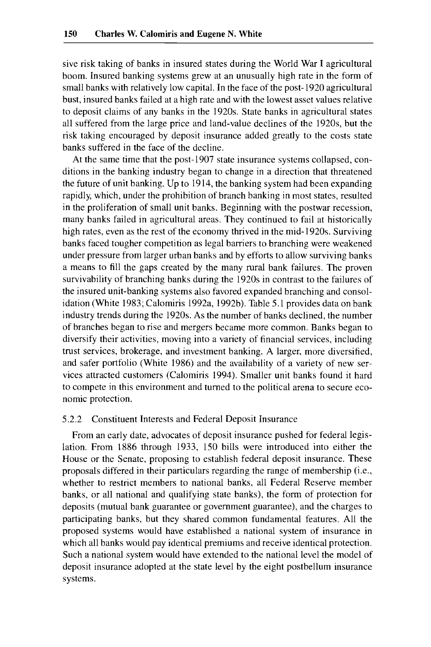sive risk taking of banks in insured states during the World War **I** agricultural boom. Insured banking systems grew at an unusually high rate in the form of small banks with relatively low capital. In the face of the post- 1920 agricultural bust, insured banks failed at a high rate and with the lowest asset values relative to deposit claims of any banks in the 1920s. State banks in agricultural states all suffered from the large price and land-value declines of the 1920s, but the risk taking encouraged by deposit insurance added greatly to the costs state banks suffered in the face of the decline.

At the same time that the post- 1907 state insurance systems collapsed, conditions in the banking industry began to change in a direction that threatened the future of unit banking. Up to 19 14, the banking system had been expanding rapidly, which, under the prohibition of branch banking in most states, resulted in the proliferation of small unit banks. Beginning with the postwar recession, many banks failed in agricultural areas. They continued to fail at historically high rates, even as the rest of the economy thrived in the mid- 1920s. Surviving banks faced tougher competition as legal barriers to branching were weakened under pressure from larger urban banks and by efforts to allow surviving banks a means to fill the gaps created by the many rural bank failures. The proven survivability of branching banks during the 1920s in contrast to the failures of the insured unit-banking systems also favored expanded branching and consolidation (White 1983; Calomiris 1992a, 1992b). Table 5.1 provides data on bank industry trends during the 1920s. As the number of banks declined, the number of branches began to rise and mergers became more common. Banks began to diversify their activities, moving into a variety of financial services, including trust services, brokerage, and investment banking. A larger, more diversified, and safer portfolio (White 1986) and the availability of a variety of new services attracted customers (Calomiris 1994). Smaller unit banks found it hard to compete in this environment and turned to the political arena to secure economic protection.

#### 5.2.2 Constituent Interests and Federal Deposit Insurance

From an early date, advocates of deposit insurance pushed for federal legislation. From 1886 through 1933, 150 bills were introduced into either the House or the Senate, proposing to establish federal deposit insurance. These proposals differed in their particulars regarding the range of membership (i.e., whether to restrict members to national banks, all Federal Reserve member banks, or all national and qualifying state banks), the form of protection for deposits (mutual bank guarantee or government guarantee), and the charges to participating banks, but they shared common fundamental features. All the proposed systems would have established a national system of insurance in which all banks would pay identical premiums and receive identical protection. Such a national system would have extended to the national level the model of deposit insurance adopted at the state level by the eight postbellum insurance systems.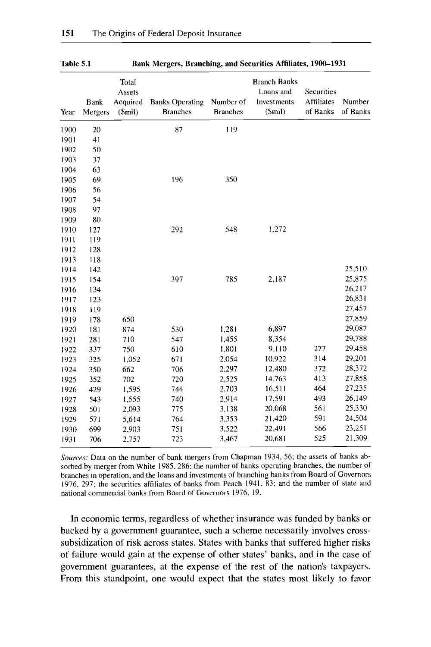| Year | Bank<br>Mergers | Total<br>Assets<br>Acquired<br>(Smil) | <b>Banks Operating</b><br><b>Branches</b> | Number of<br><b>Branches</b> | <b>Branch Banks</b><br>Loans and<br>Investments<br>(Smil) | Securities<br><b>Affiliates</b><br>of Banks | Number<br>of Banks |
|------|-----------------|---------------------------------------|-------------------------------------------|------------------------------|-----------------------------------------------------------|---------------------------------------------|--------------------|
| 1900 | 20              |                                       | 87                                        | 119                          |                                                           |                                             |                    |
| 1901 | 41              |                                       |                                           |                              |                                                           |                                             |                    |
| 1902 | 50              |                                       |                                           |                              |                                                           |                                             |                    |
| 1903 | 37              |                                       |                                           |                              |                                                           |                                             |                    |
| 1904 | 63              |                                       |                                           |                              |                                                           |                                             |                    |
| 1905 | 69              |                                       | 196                                       | 350                          |                                                           |                                             |                    |
| 1906 | 56              |                                       |                                           |                              |                                                           |                                             |                    |
| 1907 | 54              |                                       |                                           |                              |                                                           |                                             |                    |
| 1908 | 97              |                                       |                                           |                              |                                                           |                                             |                    |
| 1909 | 80              |                                       |                                           |                              |                                                           |                                             |                    |
| 1910 | 127             |                                       | 292                                       | 548                          | 1,272                                                     |                                             |                    |
| 1911 | 119             |                                       |                                           |                              |                                                           |                                             |                    |
| 1912 | 128             |                                       |                                           |                              |                                                           |                                             |                    |
| 1913 | 118             |                                       |                                           |                              |                                                           |                                             |                    |
| 1914 | 142             |                                       |                                           |                              |                                                           |                                             | 25,510             |
| 1915 | 154             |                                       | 397                                       | 785                          | 2.187                                                     |                                             | 25,875             |
| 1916 | 134             |                                       |                                           |                              |                                                           |                                             | 26,217             |
| 1917 | 123             |                                       |                                           |                              |                                                           |                                             | 26,831             |
| 1918 | 119             |                                       |                                           |                              |                                                           |                                             | 27,457             |
| 1919 | 178             | 650                                   |                                           |                              |                                                           |                                             | 27,859             |
| 1920 | 181             | 874                                   | 530                                       | 1,281                        | 6,897                                                     |                                             | 29,087             |
| 1921 | 281             | 710                                   | 547                                       | 1,455                        | 8,354                                                     |                                             | 29,788             |
| 1922 | 337             | 750                                   | 610                                       | 1,801                        | 9,110                                                     | 277                                         | 29,458             |
| 1923 | 325             | 1,052                                 | 671                                       | 2.054                        | 10,922                                                    | 314                                         | 29,201             |
| 1924 | 350             | 662                                   | 706                                       | 2,297                        | 12,480                                                    | 372                                         | 28,372             |
| 1925 | 352             | 702                                   | 720                                       | 2,525                        | 14,763                                                    | 413                                         | 27,858             |
| 1926 | 429             | 1,595                                 | 744                                       | 2,703                        | 16,511                                                    | 464                                         | 27,235             |
| 1927 | 543             | 1,555                                 | 740                                       | 2,914                        | 17,591                                                    | 493                                         | 26,149             |
| 1928 | 501             | 2,093                                 | 775                                       | 3,138                        | 20,068                                                    | 561                                         | 25,330             |
| 1929 | 571             | 5,614                                 | 764                                       | 3,353                        | 21,420                                                    | 591                                         | 24,504             |
| 1930 | 699             | 2,903                                 | 751                                       | 3,522                        | 22,491                                                    | 566                                         | 23,251             |
| 1931 | 706             | 2,757                                 | 723                                       | 3,467                        | 20,681                                                    | 525                                         | 21,309             |

**Table 5.1 Bank Mergers, Branching, and Securities Affiliates, 1900-1931** 

*Sources:* Data on the number of bank mergers from Chapman 1934, 56; the assets of hanks absorbed by merger from White 1985, 286; the number of banks operating branches, the number of branches in operation, and the loans and investments of branching banks from Board of Governors 1976, 297; the securities affiliates of hanks from Peach 1941, 83; and the number of state and national commercial hanks from Board of Governors 1976, 19.

In economic terms, regardless of whether insurance was funded by banks or backed by a government guarantee, such a scheme necessarily involves crosssubsidization of risk across states. States with banks that suffered higher risks of failure would gain at the expense of other states' banks, and in the case of government guarantees, at the expense **of** the rest of the nation's taxpayers. From this standpoint, one would expect that the states most likely to favor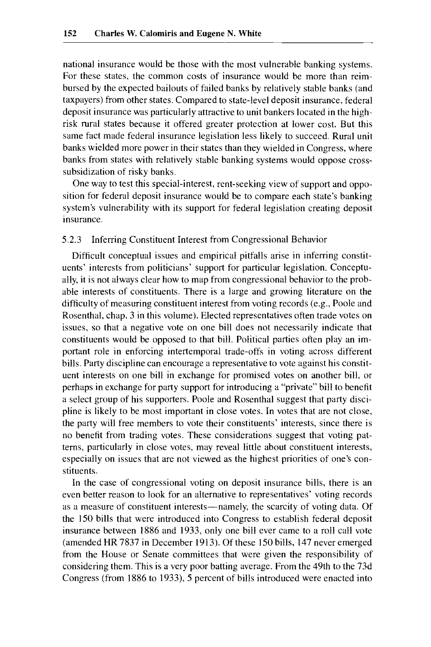national insurance would be those with the most vulnerable banking systems. For these states, the common costs of insurance would be more than reimbursed by the expected bailouts of failed banks by relatively stable banks (and taxpayers) from other states. Compared to state-level deposit insurance, federal deposit insurance was particularly attractive to unit bankers located in the highrisk rural states because it offered greater protection at lower cost. But this same fact made federal insurance legislation less likely to succeed. Rural unit banks wielded more power in their states than they wielded in Congress, where banks from states with relatively stable banking systems would oppose crosssubsidization of risky banks.

One way to test this special-interest, rent-seeking view of support and opposition for federal deposit insurance would be to compare each state's banking system's vulnerability with its support for federal legislation creating deposit insurance.

#### 5.2.3 Inferring Constituent Interest from Congressional Behavior

Difficult conceptual issues and empirical pitfalls arise in inferring constituents' interests from politicians' support for particular legislation. Conceptually, it is not always clear how to map from congressional behavior to the probable interests of constituents. There is a large and growing literature on the difficulty of measuring constituent interest from voting records (e.g., Poole and Rosenthal, chap. 3 in this volume). Elected representatives often trade votes on issues, so that a negative vote on one bill does not necessarily indicate that constituents would be opposed to that bill. Political parties often play an important role in enforcing intertemporal trade-offs in voting across different bills. Party discipline can encourage a representative to vote against his constituent interests on one bill in exchange for promised votes on another bill, or perhaps in exchange for party support for introducing a "private" bill to benefit a select group of his supporters. Poole and Rosenthal suggest that party discipline is likely to be most important in close votes. In votes that are not close, the party will free members to vote their constituents' interests, since there is no benefit from trading votes. These considerations suggest that voting patterns, particularly in close votes, may reveal little about constituent interests, especially on issues that are not viewed as the highest priorities of one's constituents.

In the case of congressional voting on deposit insurance bills, there is an even better reason to look for an alternative to representatives' voting records as a measure of constituent interests-namely, the scarcity of voting data. Of the 150 bills that were introduced into Congress to establish federal deposit insurance between 1886 and 1933, only one bill ever came to a roll call vote (amended HR 7837 in December 1913). Of these 150 bills, 147 never emerged from the House or Senate committees that were given the responsibility of considering them. This is a very poor batting average. From the 49th to the 73d Congress (from 1886 to 1933), *5* percent of bills introduced were enacted into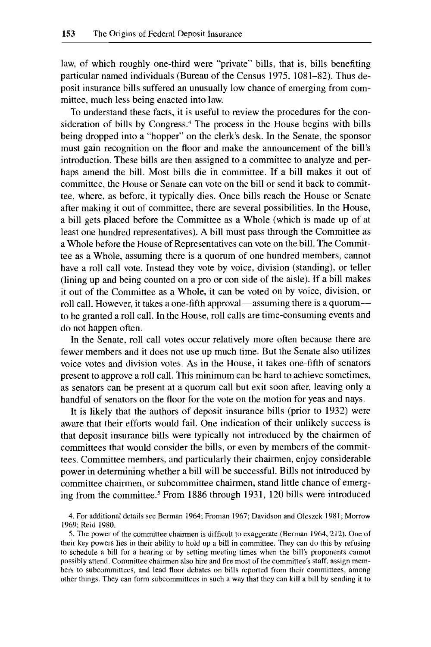law, of which roughly one-third were "private" bills, that is, bills benefiting particular named individuals (Bureau of the Census 1975, 1081-82). Thus deposit insurance bills suffered an unusually low chance of emerging from committee, much less being enacted into law.

To understand these facts, it is useful to review the procedures for the consideration of bills by Congress.<sup>4</sup> The process in the House begins with bills being dropped into a "hopper" on the clerk's desk. In the Senate, the sponsor must gain recognition on the floor and make the announcement of the bill's introduction. These bills are then assigned to **a** committee to analyze and perhaps amend the bill. Most bills die in committee. If a bill makes it out of committee, the House or Senate can vote on the bill or send it back to committee, where, as before, it typically dies. Once bills reach the House or Senate after making it out of committee, there are several possibilities. In the House, a bill gets placed before the Committee as a Whole (which is made up of at least one hundred representatives). **A** bill must pass through the Committee as a Whole before the House of Representatives can vote on the bill. The Committee as a Whole, assuming there is a quorum of one hundred members, cannot have a roll call vote. Instead they vote by voice, division (standing), or teller (lining up and being counted on a pro or con side of the aisle). If a bill makes it out of the Committee as a Whole, it can be voted on by voice, division, or roll call. However, it takes a one-fifth approval—assuming there is a quorumto be granted a roll call. In the House, roll calls are time-consuming events and do not happen often.

In the Senate, roll call votes occur relatively more often because there are fewer members and it does not use up much time. But the Senate also utilizes voice votes and division votes. **As** in the House, it takes one-fifth of senators present to approve a roll call. This minimum can be hard to achieve sometimes, as senators can be present at a quorum call but exit soon after, leaving only a handful of senators on the floor for the vote on the motion for yeas and nays.

It is likely that the authors of deposit insurance bills (prior to 1932) were aware that their efforts would fail. One indication of their unlikely success is that deposit insurance bills were typically not introduced by the chairmen of committees that would consider the bills, or even by members of the committees. Committee members, and particularly their chairmen, enjoy considerable power in determining whether a bill will be successful. Bills not introduced by committee chairmen, or subcommittee chairmen, stand little chance of emerging from the committee.<sup>5</sup> From 1886 through 1931, 120 bills were introduced

4. For additional details see Berman 1964; Froman 1967; Davidson and Oleszek 1981; Morrow 1969; Reid 1980.

*5.* The power of the committee chairmen is difficult to exaggerate (Berman 1964, 212). One of their key powers lies in their ability to hold up a bill in committee. They can do this by refusing to schedule a bill for a hearing or by setting meeting times when the bill's proponents cannot possibly attend. Committee chairmen also hire and fire most of the committee's staff, assign members to subcommittees, and lead floor debates on bills reported from their committees, among other things. They can form subcommittees in such a way that they can kill *a* bill by sending it to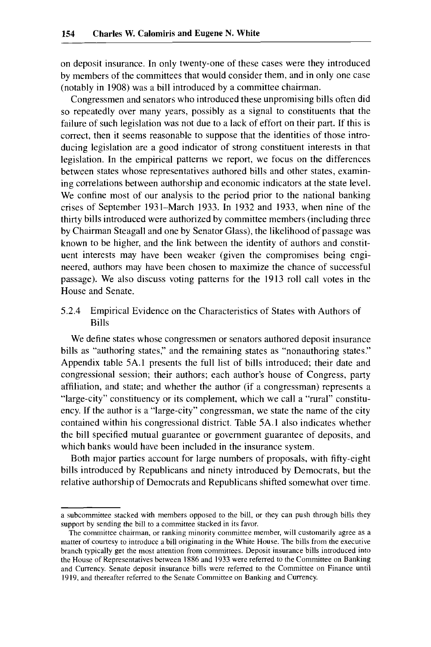on deposit insurance. In only twenty-one of these cases were they introduced by members of the committees that would consider them, and in only one case (notably in 1908) was a bill introduced by a committee chairman.

Congressmen and senators who introduced these unpromising bills often did so repeatedly over many years, possibly as a signal to constituents that the failure of such legislation was not due to a lack of effort on their part. If this is correct, then it seems reasonable to suppose that the identities of those introducing legislation are a good indicator of strong constituent interests in that legislation. In the empirical patterns we report, we focus on the differences between states whose representatives authored bills and other states, examining correlations between authorship and economic indicators at the state level. We confine most of our analysis to the period prior to the national banking crises of September 1931-March 1933. In 1932 and 1933, when nine of the thirty bills introduced were authorized by committee members (including three by Chairman Steagall and one by Senator Glass), the likelihood of passage was known to be higher, and the link between the identity of authors and constituent interests may have been weaker (given the compromises being engineered, authors may have been chosen to maximize the chance of successful passage). We also discuss voting patterns for the 19 13 roll call votes in the House and Senate.

5.2.4 Empirical Evidence on the Characteristics of States with Authors of Bills

We define states whose congressmen or senators authored deposit insurance bills as "authoring states," and the remaining states as "nonauthoring states." Appendix table SA.l presents the full list of bills introduced; their date and congressional session; their authors; each author's house of Congress, party affiliation, and state; and whether the author (if a congressman) represents a "large-city'' constituency or its complement, which we call a "rural" constituency. If the author is a "large-city" congressman, we state the name of the city contained within his congressional district. Table 5A. I also indicates whether the bill specified mutual guarantee or government guarantee of deposits, and which banks would have been included in the insurance system.

Both major parties account for large numbers of proposals, with fifty-eight bills introduced by Republicans and ninety introduced by Democrats, but the relative authorship of Democrats and Republicans shifted somewhat over time.

a subcommittee stacked with members opposed to the bill, or they can push through bills they support by sending the bill to a committee stacked in its favor.

The committee chairman, or ranking minority committee member, will customarily agree as a matter of courtesy to introduce a bill originating in the White House. The bills from the executive branch typically get the most attention from committees. Deposit insurance bills introduced into the House of Representatives between 1886 and **1933** were referred to the Committee on Banking and Currency. Senate deposit insurance bills were referred to the Committee on Finance until 1919, and thereafter referred to the Senate Committee on Banking and Currency.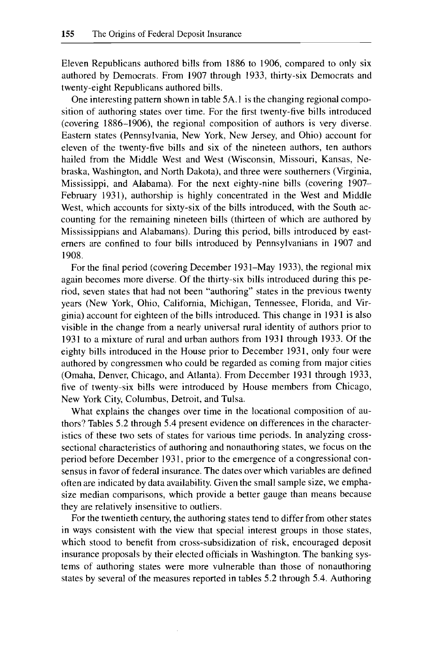Eleven Republicans authored bills from 1886 to 1906, compared to only six authored by Democrats. From 1907 through 1933, thirty-six Democrats and twenty-eight Republicans authored bills.

One interesting pattern shown in table 5A. **1** is the changing regional composition of authoring states over time. For the first twenty-five bills introduced (covering 1886-1906), the regional composition of authors is very diverse. Eastern states (Pennsylvania, New York, New Jersey, and Ohio) account for eleven of the twenty-five bills and six of the nineteen authors, ten authors hailed from the Middle West and West (Wisconsin, Missouri, Kansas, Nebraska, Washington, and North Dakota), and three were southerners (Virginia, Mississippi, and Alabama). For the next eighty-nine bills (covering 1907- February 1931), authorship is highly concentrated in the West and Middle West, which accounts for sixty-six of the bills introduced, with the South accounting for the remaining nineteen bills (thirteen of which are authored by Mississippians and Alabamans). During this period, bills introduced by easterners are confined to four bills introduced by Pennsylvanians in 1907 and 1908.

For the final period (covering December 1931-May 1933), the regional mix again becomes more diverse. Of the thirty-six bills introduced during this period, seven states that had not been "authoring" states in the previous twenty years (New York, Ohio, California, Michigan, Tennessee, Florida, and Virginia) account for eighteen of the bills introduced. This change in 193 **1** is also visible in the change from a nearly universal rural identity of authors prior to 1931 to a mixture of rural and urban authors from 193 1 through 1933. Of the eighty bills introduced in the House prior to December 1931, only four were authored by congressmen who could be regarded as coming from major cities (Omaha, Denver, Chicago, and Atlanta). From December 1931 through 1933, five of twenty-six bills were introduced by House members from Chicago, New York City, Columbus, Detroit, and Tulsa.

What explains the changes over time in the locational composition of authors? Tables *5.2* through 5.4 present evidence on differences in the characteristics of these two sets of states for various time periods. In analyzing crosssectional characteristics of authoring and nonauthoring states, we focus on the period before December 193 **1,** prior to the emergence of a congressional consensus in favor of federal insurance. The dates over which variables are defined often are indicated by data availability. Given the small sample size, we emphasize median comparisons, which provide a better gauge than means because they are relatively insensitive to outliers.

For the twentieth century, the authoring states tend to differ from other states in ways consistent with the view that special interest groups in those states, which stood to benefit from cross-subsidization of risk, encouraged deposit insurance proposals by their elected officials in Washington. The banking systems of authoring states were more vulnerable than those of nonauthoring states by several of the measures reported in tables *5.2* through 5.4. Authoring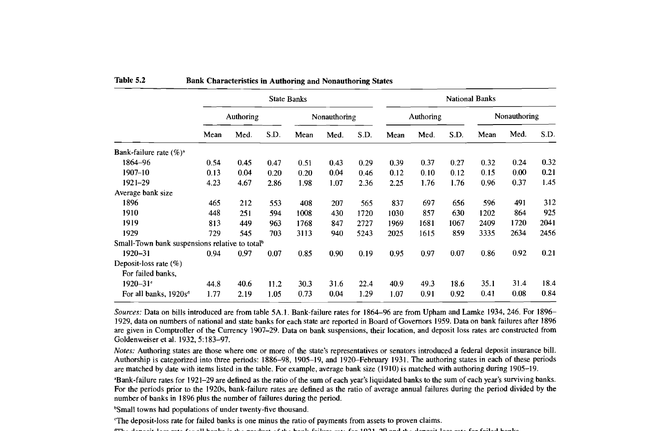|                                                            |      |           |      | <b>State Banks</b> |              |      | <b>National Banks</b> |           |      |              |      |      |  |  |
|------------------------------------------------------------|------|-----------|------|--------------------|--------------|------|-----------------------|-----------|------|--------------|------|------|--|--|
|                                                            |      | Authoring |      |                    | Nonauthoring |      |                       | Authoring |      | Nonauthoring |      |      |  |  |
|                                                            | Mean | Med.      | S.D. | Mean               | Med.         | S.D. | Mean                  | Med.      | S.D. | Mean         | Med. | S.D. |  |  |
| Bank-failure rate $(\%)^a$                                 |      |           |      |                    |              |      |                       |           |      |              |      |      |  |  |
| 1864-96                                                    | 0.54 | 0.45      | 0.47 | 0.51               | 0.43         | 0.29 | 0.39                  | 0.37      | 0.27 | 0.32         | 0.24 | 0.32 |  |  |
| $1907 - 10$                                                | 0.13 | 0.04      | 0.20 | 0.20               | 0.04         | 0.46 | 0.12                  | 0.10      | 0.12 | 0.15         | 0.00 | 0.21 |  |  |
| $1921 - 29$                                                | 4.23 | 4.67      | 2.86 | 1.98               | 1.07         | 2.36 | 2.25                  | 1.76      | 1.76 | 0.96         | 0.37 | 1.45 |  |  |
| Average bank size                                          |      |           |      |                    |              |      |                       |           |      |              |      |      |  |  |
| 1896                                                       | 465  | 212       | 553  | 408                | 207          | 565  | 837                   | 697       | 656  | 596          | 491  | 312  |  |  |
| 1910                                                       | 448  | 251       | 594  | 1008               | 430          | 1720 | 1030                  | 857       | 630  | 1202         | 864  | 925  |  |  |
| 1919                                                       | 813  | 449       | 963  | 1768               | 847          | 2727 | 1969                  | 1681      | 1067 | 2409         | 1720 | 2041 |  |  |
| 1929                                                       | 729  | 545       | 703  | 3113               | 940          | 5243 | 2025                  | 1615      | 859  | 3335         | 2634 | 2456 |  |  |
| Small-Town bank suspensions relative to total <sup>6</sup> |      |           |      |                    |              |      |                       |           |      |              |      |      |  |  |
| $1920 - 31$                                                | 0.94 | 0.97      | 0.07 | 0.85               | 0.90         | 0.19 | 0.95                  | 0.97      | 0.07 | 0.86         | 0.92 | 0.21 |  |  |
| Deposit-loss rate $(\%)$                                   |      |           |      |                    |              |      |                       |           |      |              |      |      |  |  |
| For failed banks,                                          |      |           |      |                    |              |      |                       |           |      |              |      |      |  |  |
| $1920 - 31$ <sup>e</sup>                                   | 44.8 | 40.6      | 11.2 | 30.3               | 31.6         | 22.4 | 40.9                  | 49.3      | 18.6 | 35.1         | 31.4 | 18.4 |  |  |
| For all banks, 1920s <sup>d</sup>                          | 1,77 | 2.19      | 1.05 | 0.73               | 0.04         | 1.29 | 1.07                  | 0.91      | 0.92 | 0.41         | 0.08 | 0.84 |  |  |

#### **Table 5.2 Bank Characteristics in Authoring and Nonauthoring States**

*Sources:* Data on bills introduced are from table **5A.1.** Bank-failure rates for 1864-96 are from Upham and Lamke 1934, 246. For 1896- 1929, data on numbers of national and state banks for each state are reported in Board of Governors 1959. Data on bank failures after 1896 are given in Comptroller of the Currency 1907-29. Data on bank suspensions, their location, and deposit loss rates are constructed from Goldenweiser et al. 1932, 5:183-97.

*Notes:* Authoring states are those where one or more of the state's representatives or senators introduced a federal deposit insurance bill. Authorship is categorized into *three* periods: 1886-98, 1905-19, and 1920-February 1931. The authoring states in each of these periods are matched by date with items listed in the table. For example, average bank size (1910) is matched with authoring during 1905-19.

"Bank-failure rates for 1921-29 are defined as the ratio of the sum of each year's liquidated banks to the sum of each year's surviving banks. For the periods prior to the 1920s, bank-failure rates are defined as the ratio of average annual failures during the period divided by the number of banks in 1896 plus the number of failures during the period.

**hSmall** towns had populations of under twenty-five thousand.

'The deposit-loss rate for failed banks is one minus the ratio of payments from assets to proven claims.

dThe all banks is the product of the product of the product of the product of the deposit-loss rate for failure for failure for failure for failure for failure for failure for failure for failure for failure for failure fo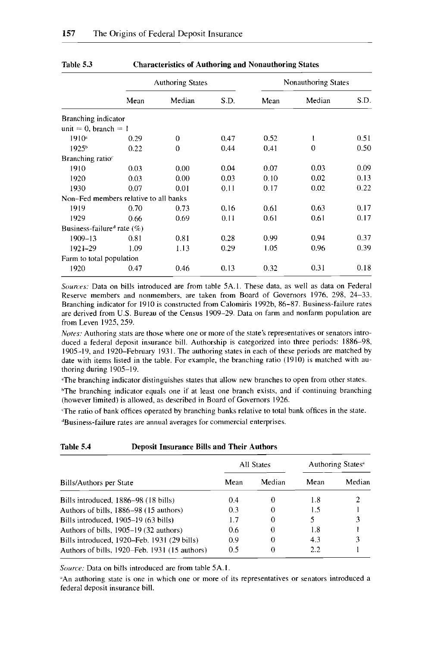|                                           |      | <b>Authoring States</b> |      | Nonauthoring States |          |      |  |  |  |
|-------------------------------------------|------|-------------------------|------|---------------------|----------|------|--|--|--|
|                                           | Mean | Median                  | S.D. | Mean                | Median   | S.D. |  |  |  |
| Branching indicator                       |      |                         |      |                     |          |      |  |  |  |
| unit = 0, branch = $1$                    |      |                         |      |                     |          |      |  |  |  |
| $1910^a$                                  | 0.29 | $\Omega$                | 0.47 | 0.52                | I        | 0.51 |  |  |  |
| $1925^{\circ}$                            | 0.22 | $\Omega$                | 0.44 | 0.41                | $\theta$ | 0.50 |  |  |  |
| Branching ratio <sup>c</sup>              |      |                         |      |                     |          |      |  |  |  |
| 1910                                      | 0.03 | 0.00                    | 0.04 | 0.07                | 0.03     | 0.09 |  |  |  |
| 1920                                      | 0.03 | 0.00                    | 0.03 | 0.10                | 0.02     | 0.13 |  |  |  |
| 1930                                      | 0.07 | 0.01                    | 0.11 | 0.17                | 0.02     | 0.22 |  |  |  |
| Non-Fed members relative to all banks     |      |                         |      |                     |          |      |  |  |  |
| 1919                                      | 0.70 | 0.73                    | 0.16 | 0.61                | 0.63     | 0.17 |  |  |  |
| 1929                                      | 0.66 | 0.69                    | 0.11 | 0.61                | 0.61     | 0.17 |  |  |  |
| Business-failure <sup>d</sup> rate $(\%)$ |      |                         |      |                     |          |      |  |  |  |
| 1909-13                                   | 0.81 | 0.81                    | 0.28 | 0.99                | 0.94     | 0.37 |  |  |  |
| $1921 - 29$                               | 1.09 | 1.13                    | 0.29 | 1.05                | 0.96     | 0.39 |  |  |  |
| Farm to total population                  |      |                         |      |                     |          |      |  |  |  |
| 1920                                      | 0.47 | 0.46                    | 0.13 | 0.32                | 0.31     | 0.18 |  |  |  |

**Table 5.3 Characteristics of Authoring and Nonauthoring States** 

*Sources:* Data on bills introduced are from table 5A. I. These data, as well as data on Federal Reserve members and nonmembers, are taken from Board of Governors 1976, 298, 24-33. Branching indicator for I910 is constructed from Calomiris 1992b, 86-87. Business-failure rates are derived from US. Bureau of the Census 1909-29. Data on farm and nonfarm population are from Leven 1925, 259.

*Nufps:* Authoring stats **are** those where one or more of the state's representatives or senators introduced a federal deposit insurance bill. Authorship is categorized into three periods: 1886-98, 1905-19, and 1920-February 1931. The authoring states in each of these periods are matched by date with items listed in the table. For example, the branching ratio (1910) is matched with authoring during 1905-19.

"he branching indicator distinguishes states that allow new branches to open from other states.

<sup>h</sup>The branching indicator equals one if at least one branch exists, and if continuing branching (however limited) is allowed, as described in Board of Governors 1926.

'The ratio of bank offices operated by branching banks relative to total bank offices in the state.

'Business-failure rates are annual averages for commercial enterprises

| <b>Deposit Insurance Bills and Their Authors</b><br>Table 5.4 |
|---------------------------------------------------------------|
|---------------------------------------------------------------|

|                                               |      | All States | Authoring States <sup>a</sup> |        |  |  |
|-----------------------------------------------|------|------------|-------------------------------|--------|--|--|
| <b>Bills/Authors per State</b>                | Mean | Median     | Mean                          | Median |  |  |
| Bills introduced, 1886–98 (18 bills)          | 0.4  | 0          | 1.8                           |        |  |  |
| Authors of bills, 1886–98 (15 authors)        | 0.3  | $^{()}$    | 1.5                           |        |  |  |
| Bills introduced, 1905–19 (63 bills)          | 1.7  | 0          | 5                             |        |  |  |
| Authors of bills, 1905–19 (32 authors)        | 0.6  | 0          | 1.8                           |        |  |  |
| Bills introduced, 1920–Feb. 1931 (29 bills)   | 0.9  | 0          | 4.3                           |        |  |  |
| Authors of bills, 1920–Feb. 1931 (15 authors) | 0.5  | 0          | 2.2                           |        |  |  |

*Source:* Data on bills introduced are from table 5A. **I.** 

federal deposit insurance bill. authoring state is one in which one or more of its representatives or senators introduced a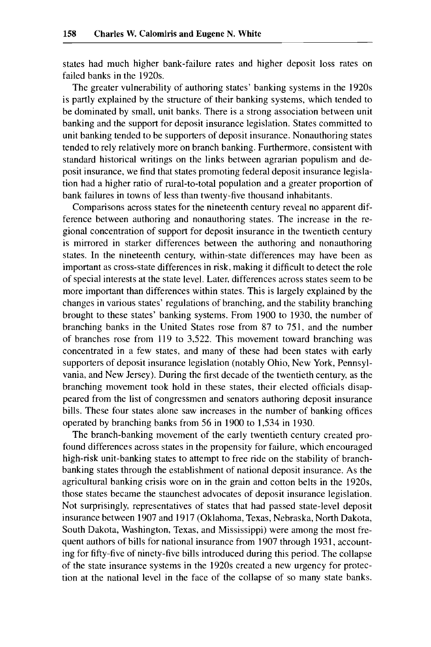states had much higher bank-failure rates and higher deposit loss rates on failed banks in the 1920s.

The greater vulnerability of authoring states' banking systems in the 1920s is partly explained by the structure of their banking systems, which tended to be dominated by small, unit banks. There is a strong association between unit banking and the support for deposit insurance legislation. States committed to unit banking tended to be supporters of deposit insurance. Nonauthoring states tended to rely relatively more on branch banking. Furthermore, consistent with standard historical writings on the links between agrarian populism and deposit insurance, we find that states promoting federal deposit insurance legislation had a higher ratio of rural-to-total population and a greater proportion of bank failures in towns of less than twenty-five thousand inhabitants.

Comparisons across states for the nineteenth century reveal no apparent difference between authoring and nonauthoring states. The increase in the regional concentration of support for deposit insurance in the twentieth century is mirrored in starker differences between the authoring and nonauthoring states. In the nineteenth century, within-state differences may have been as important as cross-state differences in risk, making it difficult to detect the role of special interests at the state level. Later, differences across states seem to be more important than differences within states. This is largely explained by the changes in various states' regulations of branching, and the stability branching brought to these states' banking systems. From 1900 to 1930, the number of branching banks in the United States rose from 87 to 751, and the number of branches rose from 119 to 3,522. This movement toward branching was concentrated in a few states, and many of these had been states with early supporters of deposit insurance legislation (notably Ohio, New York, Pennsylvania, and New Jersey). During the first decade of the twentieth century, as the branching movement took hold in these states, their elected officials disappeared from the list of congressmen and senators authoring deposit insurance bills. These four states alone saw increases in the number of banking offices operated by branching banks from 56 in 1900 to 1,534 in 1930.

The branch-banking movement of the early twentieth century created profound differences across states in the propensity for failure, which encouraged high-risk unit-banking states to attempt to free ride on the stability of branchbanking states through the establishment of national deposit insurance. **As** the agricultural banking crisis wore on in the grain and cotton belts in the 1920s, those states became the staunchest advocates of deposit insurance legislation. Not surprisingly, representatives of states that had passed state-level deposit insurance between 1907 and 1917 (Oklahoma, Texas, Nebraska, North Dakota, South Dakota, Washington, Texas, and Mississippi) were among the most frequent authors of bills for national insurance from 1907 through 1931, accounting for fifty-five of ninety-five bills introduced during this period. The collapse of the state insurance systems in the 1920s created a new urgency for protection at the national level in the face of the collapse of so many state banks.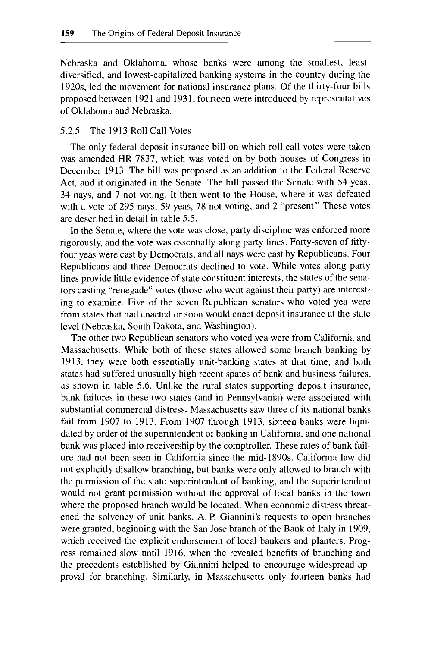Nebraska and Oklahoma, whose banks were among the smallest, leastdiversified, and lowest-capitalized banking systems in the country during the 1920s, led the movement for national insurance plans. Of the thirty-four bills proposed between 1921 and 193 1, fourteen were introduced by representatives of Oklahoma and Nebraska.

#### 5.2.5 The 1913 Roll Call Votes

The only federal deposit insurance bill on which roll call votes were taken was amended HR 7837, which was voted on by both houses of Congress in December 1913. The bill was proposed as an addition to the Federal Reserve Act, and it originated in the Senate. The bill passed the Senate with 54 yeas, 34 nays, and 7 not voting. It then went to the House, where it was defeated with a vote of 295 nays, 59 yeas, 78 not voting, and 2 "present." These votes are described in detail in table 5.5.

In the Senate, where the vote was close, party discipline was enforced more rigorously, and the vote was essentially along party lines. Forty-seven of fiftyfour yeas were cast by Democrats, and all nays were cast by Republicans. Four Republicans and three Democrats declined to vote. While votes along party lines provide little evidence of state constituent interests, the states of the senators casting "renegade" votes (those who went against their party) are interesting to examine. Five of the seven Republican senators who voted yea were from states that had enacted or soon would enact deposit insurance at the state level (Nebraska, South Dakota, and Washington).

The other two Republican senators who voted yea were from California and Massachusetts. While both of these states allowed some branch banking by 1913, they were both essentially unit-banking states at that time, and both states had suffered unusually high recent spates of bank and business failures, as shown in table 5.6. Unlike the rural states supporting deposit insurance, bank failures in these two states (and in Pennsylvania) were associated with substantial commercial distress. Massachusetts saw three of its national banks fail from 1907 to 1913. From 1907 through 1913, sixteen banks were liquidated by order of the superintendent of banking in California, and one national bank was placed into receivership by the comptroller. These rates of bank failure had not been seen in California since the mid-1890s. California law did not explicitly disallow branching, but banks were only allowed to branch with the permission of the state superintendent of banking, and the superintendent would not grant permission without the approval of local banks in the town where the proposed branch would be located. When economic distress threatened the solvency of unit banks, **A.** P. Giannini's requests to open branches were granted, beginning with the San Jose branch of the Bank of Italy in 1909, which received the explicit endorsement of local bankers and planters. Progress remained slow until 1916, when the revealed benefits of branching and the precedents established by Giannini helped to encourage widespread approval for branching. Similarly, in Massachusetts only fourteen banks had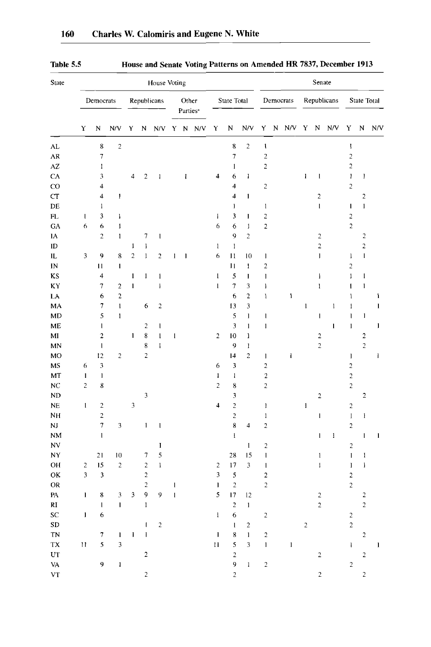| State            |                                       | House Voting            |                                                             |                         |                         |                               |                                       |              |             |                        |                          |                                       | Senate                  |             |              |                                  |                                       |              |                         |                         |                                                                                                                                                                                                                                                                                                                                                                                  |
|------------------|---------------------------------------|-------------------------|-------------------------------------------------------------|-------------------------|-------------------------|-------------------------------|---------------------------------------|--------------|-------------|------------------------|--------------------------|---------------------------------------|-------------------------|-------------|--------------|----------------------------------|---------------------------------------|--------------|-------------------------|-------------------------|----------------------------------------------------------------------------------------------------------------------------------------------------------------------------------------------------------------------------------------------------------------------------------------------------------------------------------------------------------------------------------|
|                  |                                       | Democrats               |                                                             | Republicans             |                         | Other<br>Parties <sup>a</sup> |                                       |              | State Total |                        |                          |                                       | Democrats               | Republicans |              | State Total                      |                                       |              |                         |                         |                                                                                                                                                                                                                                                                                                                                                                                  |
|                  | Y                                     | N                       | $\ensuremath{\text{N}}\xspace/\ensuremath{\text{V}}\xspace$ | Y                       | N                       | $\mathrm{N}/\mathrm{V}$       |                                       |              | Y N N/V     | Y                      | N                        | N/V                                   | Y                       |             | N N/V        | Y                                | N                                     | N/V          | Y                       | N                       | N/V                                                                                                                                                                                                                                                                                                                                                                              |
| $\hbox{AL}$      |                                       | $\bf 8$                 | $\overline{c}$                                              |                         |                         |                               |                                       |              |             |                        | 8                        | $\overline{2}$                        | $\mathbf{l}$            |             |              |                                  |                                       |              | $\mathfrak l$           |                         |                                                                                                                                                                                                                                                                                                                                                                                  |
| ${\sf AR}$       |                                       | $\overline{7}$          |                                                             |                         |                         |                               |                                       |              |             |                        | $\overline{\phantom{a}}$ |                                       | $\sqrt{2}$              |             |              |                                  |                                       |              | $\overline{c}$          |                         |                                                                                                                                                                                                                                                                                                                                                                                  |
| AZ               |                                       | l                       |                                                             |                         |                         |                               |                                       |              |             |                        | $\mathbf{I}$             |                                       | $\overline{2}$          |             |              |                                  |                                       |              | $\overline{c}$          |                         |                                                                                                                                                                                                                                                                                                                                                                                  |
| CA               |                                       | 3                       |                                                             | 4                       | $\overline{c}$          | $\bf{l}$                      |                                       | I            |             | 4                      | 6                        | $\mathbf{I}$                          |                         |             |              | $\mathbf{I}$                     | $\begin{array}{c} \hline \end{array}$ |              | $\pmb{\quad \text{I}}$  | l                       |                                                                                                                                                                                                                                                                                                                                                                                  |
| $_{\rm CO}$      |                                       | 4                       |                                                             |                         |                         |                               |                                       |              |             |                        | $\overline{4}$           |                                       | $\overline{c}$          |             |              |                                  |                                       |              | $\overline{c}$          |                         |                                                                                                                                                                                                                                                                                                                                                                                  |
| CT               |                                       | 4                       | $\bf{l}$                                                    |                         |                         |                               |                                       |              |             |                        | 4                        | $\mathbf{l}$                          |                         |             |              |                                  | $\overline{2}$                        |              |                         | $\sqrt{2}$              |                                                                                                                                                                                                                                                                                                                                                                                  |
| DE               |                                       | ı                       |                                                             |                         |                         |                               |                                       |              |             |                        | I                        |                                       | $\mathbf{l}$            |             |              |                                  | $\mathbf{I}$                          |              | $\mathbf{l}$            | $\mathbf{l}$            |                                                                                                                                                                                                                                                                                                                                                                                  |
| FL               | $\mathbf{I}$                          | 3                       | l                                                           |                         |                         |                               |                                       |              |             | $\mathbf{I}$           | 3                        | $\mathbf{I}$                          | $\overline{c}$          |             |              |                                  |                                       |              | $\overline{c}$          |                         |                                                                                                                                                                                                                                                                                                                                                                                  |
| GA               | 6                                     | 6                       | 1                                                           |                         |                         |                               |                                       |              |             | 6                      | 6                        | 1                                     | $\overline{2}$          |             |              |                                  |                                       |              | $\overline{a}$          |                         |                                                                                                                                                                                                                                                                                                                                                                                  |
| IA               |                                       | $\overline{2}$          | 1                                                           |                         | $\overline{7}$          | I                             |                                       |              |             |                        | 9                        | $\overline{2}$                        |                         |             |              |                                  | $\overline{c}$                        |              |                         | $\sqrt{2}$              |                                                                                                                                                                                                                                                                                                                                                                                  |
| ID               |                                       |                         |                                                             | $\pmb{\mathbb{1}}$      | 1                       |                               |                                       |              |             | $\mathbf{1}$           | $\mathbf 1$              |                                       |                         |             |              |                                  | $\overline{\mathbf{c}}$               |              |                         | $\overline{c}$          |                                                                                                                                                                                                                                                                                                                                                                                  |
| IL               | 3                                     | 9                       | 8                                                           | $\overline{\mathbf{c}}$ | 1                       | $\overline{c}$                | I                                     | $\mathbf{I}$ |             | 6                      | $\mathbf{11}$            | 10                                    | $\pmb{\mathsf{l}}$      |             |              |                                  | $\mathbf{I}$                          |              | $\mathbf{I}$            | $\mathbf{I}$            |                                                                                                                                                                                                                                                                                                                                                                                  |
| IN               |                                       | $\mathbf{1}$            | 1                                                           |                         |                         |                               |                                       |              |             |                        | $\mathbf{1}$             | $\mathbf{1}$                          | $\overline{c}$          |             |              |                                  |                                       |              | $\overline{c}$          |                         |                                                                                                                                                                                                                                                                                                                                                                                  |
| KS               |                                       | $\overline{4}$          |                                                             | $\mathbf{I}$            | ı                       | $\mathbf{I}$                  |                                       |              |             | 1                      | 5                        | $\mathbf{l}$                          | $\mathbf{l}$            |             |              |                                  | $\mathbf{1}$                          |              | $\pmb{1}$               | $\mathbf{I}$            |                                                                                                                                                                                                                                                                                                                                                                                  |
| KY               |                                       | 7                       | $\boldsymbol{2}$                                            | $\mathbf{I}$            |                         | $\pmb{\mathrm{l}}$            |                                       |              |             | $\mathbf{I}$           | $\overline{7}$           | 3                                     | I                       |             |              |                                  | $\mathbf{1}$                          |              | $\mathbf{I}$            | 1                       |                                                                                                                                                                                                                                                                                                                                                                                  |
| LA               |                                       | 6                       | $\overline{2}$                                              |                         |                         |                               |                                       |              |             |                        | 6                        | $\overline{2}$                        | $\mathbf{I}$            |             | $\mathbf{I}$ |                                  |                                       |              | 1                       |                         | 1                                                                                                                                                                                                                                                                                                                                                                                |
| MA               |                                       | $\overline{7}$          | $\mathbf{I}$                                                |                         | 6                       | $\mathbf 2$                   |                                       |              |             |                        | 13                       | 3                                     |                         |             |              | $\begin{array}{c} 1 \end{array}$ |                                       | $\mathbf{1}$ | 1                       |                         | $\mathbf{I}$                                                                                                                                                                                                                                                                                                                                                                     |
| MD               |                                       | 5                       | 1                                                           |                         |                         |                               |                                       |              |             |                        | 5                        | 1                                     | $\mathbf{I}$            |             |              |                                  | l                                     |              | $\mathbf{I}$            | $\mathbf{I}$            |                                                                                                                                                                                                                                                                                                                                                                                  |
| ME               |                                       | $\mathbf{I}$            |                                                             |                         | $\overline{c}$          | 1                             |                                       |              |             |                        | 3                        | $\begin{array}{c} \hline \end{array}$ | $\pmb{\mathsf{l}}$      |             |              |                                  |                                       | I            | $\bf{l}$                |                         | $\begin{array}{c} \rule{0pt}{2.5ex} \rule{0pt}{2.5ex} \rule{0pt}{2.5ex} \rule{0pt}{2.5ex} \rule{0pt}{2.5ex} \rule{0pt}{2.5ex} \rule{0pt}{2.5ex} \rule{0pt}{2.5ex} \rule{0pt}{2.5ex} \rule{0pt}{2.5ex} \rule{0pt}{2.5ex} \rule{0pt}{2.5ex} \rule{0pt}{2.5ex} \rule{0pt}{2.5ex} \rule{0pt}{2.5ex} \rule{0pt}{2.5ex} \rule{0pt}{2.5ex} \rule{0pt}{2.5ex} \rule{0pt}{2.5ex} \rule{0$ |
| M <sub>I</sub>   |                                       | $\overline{\mathbf{c}}$ |                                                             | $\mathbf{I}$            | $\bf 8$                 | 1                             | $\begin{array}{c} \hline \end{array}$ |              |             | $\overline{2}$         | 10                       | ı                                     |                         |             |              |                                  | $\overline{\mathbf{c}}$               |              |                         | $\boldsymbol{2}$        |                                                                                                                                                                                                                                                                                                                                                                                  |
| MN               |                                       | $\mathbf{I}$            |                                                             |                         | 8                       | I                             |                                       |              |             |                        | 9                        | I                                     |                         |             |              |                                  | $\overline{c}$                        |              |                         | $\overline{\mathbf{c}}$ |                                                                                                                                                                                                                                                                                                                                                                                  |
| M <sub>O</sub>   |                                       | 12                      | $\overline{c}$                                              |                         | $\overline{2}$          |                               |                                       |              |             |                        | 14                       | $\overline{c}$                        | $\mathbf{I}$            |             | $\mathbf{I}$ |                                  |                                       |              | $\mathbf{I}$            |                         | $\mathbf{I}$                                                                                                                                                                                                                                                                                                                                                                     |
| MS               | 6                                     | $\mathfrak{Z}$          |                                                             |                         |                         |                               |                                       |              |             | 6                      | 3                        |                                       | $\overline{c}$          |             |              |                                  |                                       |              | $\overline{c}$          |                         |                                                                                                                                                                                                                                                                                                                                                                                  |
| MT               | $\mathbf{I}$                          | $\mathbf{I}$            |                                                             |                         |                         |                               |                                       |              |             | $\mathbf{1}$           | $\mathbf{I}$             |                                       | $\overline{c}$          |             |              |                                  |                                       |              | $\overline{c}$          |                         |                                                                                                                                                                                                                                                                                                                                                                                  |
| $_{\mathrm{NC}}$ | $\overline{2}$                        | 8                       |                                                             |                         |                         |                               |                                       |              |             | $\overline{2}$         | 8                        |                                       | $\overline{c}$          |             |              |                                  |                                       |              | $\overline{\mathbf{c}}$ |                         |                                                                                                                                                                                                                                                                                                                                                                                  |
| ND               |                                       |                         |                                                             |                         | 3                       |                               |                                       |              |             |                        | $\mathfrak{Z}$           |                                       |                         |             |              |                                  | $\overline{\mathbf{c}}$               |              |                         | $\boldsymbol{2}$        |                                                                                                                                                                                                                                                                                                                                                                                  |
| $_{\rm NE}$      | $\mathbf{I}$                          | $\sqrt{2}$              |                                                             | 3                       |                         |                               |                                       |              |             | $\overline{4}$         | $\overline{c}$           |                                       | 1                       |             |              | $\,$ 1                           |                                       |              | $\overline{c}$          |                         |                                                                                                                                                                                                                                                                                                                                                                                  |
| NH               |                                       | $\sqrt{2}$              |                                                             |                         |                         |                               |                                       |              |             |                        | $\overline{\mathbf{c}}$  |                                       | $\,$ $\,$               |             |              |                                  | $\mathbf{I}$                          |              | $\bf{l}$                | $\bf{l}$                |                                                                                                                                                                                                                                                                                                                                                                                  |
| NJ               |                                       | $\overline{7}$          | 3                                                           |                         | ı                       | $\mathbf{l}$                  |                                       |              |             |                        | $\bf 8$                  | $\overline{\mathbf{4}}$               | $\overline{c}$          |             |              |                                  |                                       |              | $\overline{c}$          |                         |                                                                                                                                                                                                                                                                                                                                                                                  |
| NM               |                                       | $\mathbf{I}$            |                                                             |                         |                         |                               |                                       |              |             |                        | $\mathbf{I}$             |                                       |                         |             |              |                                  | $\mathbf{I}$                          | $\mathbf{1}$ |                         | $\mathbf{I}$            | $\mathbf{I}$                                                                                                                                                                                                                                                                                                                                                                     |
| ${\hbox{NV}}$    |                                       |                         |                                                             |                         |                         | I                             |                                       |              |             |                        |                          | $\mathbf{I}$                          | $\overline{c}$          |             |              |                                  |                                       |              | $\sqrt{2}$              |                         |                                                                                                                                                                                                                                                                                                                                                                                  |
| NY               |                                       | 21                      | 10                                                          |                         | 7                       | 5                             |                                       |              |             |                        | 28                       | 15                                    | $\mathbf{l}$            |             |              |                                  | $\mathbf{1}$                          |              | $\mathbf{I}$            | 1                       |                                                                                                                                                                                                                                                                                                                                                                                  |
| OH               | $\overline{2}$                        | 15                      | $\mathbf 2$                                                 |                         | $\overline{2}$          | $\mathbf{1}$                  |                                       |              |             | $\sqrt{2}$             | 17                       | 3                                     | $\mathbf{l}$            |             |              |                                  | $\mathbf{1}$                          |              | $\bf I$                 | $\pmb{\text{I}}$        |                                                                                                                                                                                                                                                                                                                                                                                  |
| OK               | 3                                     | 3                       |                                                             |                         | $\overline{\mathbf{c}}$ |                               |                                       |              |             | 3                      | 5                        |                                       | $\overline{\mathbf{c}}$ |             |              |                                  |                                       |              | $\overline{c}$          |                         |                                                                                                                                                                                                                                                                                                                                                                                  |
| <b>OR</b>        |                                       |                         |                                                             |                         | $\overline{c}$          |                               | 1                                     |              |             | $\mathbf{I}$           | $\overline{2}$           |                                       | $\overline{2}$          |             |              |                                  |                                       |              | $\overline{c}$          |                         |                                                                                                                                                                                                                                                                                                                                                                                  |
| PA               | $\mathbf{l}$                          | 8                       | $\mathfrak{z}$                                              | 3                       | 9                       | 9                             | $\mathbf{I}$                          |              |             | 5                      | 17                       | 12                                    |                         |             |              |                                  | $\overline{c}$                        |              |                         | $\overline{c}$          |                                                                                                                                                                                                                                                                                                                                                                                  |
| RI               |                                       | $\mathbf{I}$            | $\mathbf{I}$                                                |                         | $\mathbf{1}$            |                               |                                       |              |             |                        | $\overline{c}$           | $\mathbf{I}$                          |                         |             |              |                                  | $\overline{a}$                        |              |                         | $\overline{c}$          |                                                                                                                                                                                                                                                                                                                                                                                  |
| SC               | $\begin{array}{c} \hline \end{array}$ | 6                       |                                                             |                         |                         |                               |                                       |              |             | $\pmb{\scriptstyle 1}$ | 6                        |                                       | $\overline{c}$          |             |              |                                  |                                       |              | $\overline{c}$          |                         |                                                                                                                                                                                                                                                                                                                                                                                  |
| SD               |                                       |                         |                                                             |                         | $\mathbf I$             | $\overline{c}$                |                                       |              |             |                        | $\mathbf{I}$             | $\sqrt{2}$                            |                         |             |              | $\overline{2}$                   |                                       |              | $\overline{c}$          |                         |                                                                                                                                                                                                                                                                                                                                                                                  |
| TN               |                                       | $\boldsymbol{7}$        | l                                                           | $\mathbf{l}$            | $\mathbf{l}$            |                               |                                       |              |             | $\mathbf{l}$           | 8                        | $\mathbf{I}$                          | $\overline{\mathbf{c}}$ |             |              |                                  |                                       |              |                         | $\mathbf 2$             |                                                                                                                                                                                                                                                                                                                                                                                  |
| TX               | $\mathbf{11}$                         | 5                       | 3                                                           |                         |                         |                               |                                       |              |             | 11                     | 5                        | 3                                     | $\mathbf{I}$            |             | $\mathbf{I}$ |                                  |                                       |              | 1                       |                         | $\pmb{\text{I}}$                                                                                                                                                                                                                                                                                                                                                                 |
| UT               |                                       |                         |                                                             |                         | $\overline{c}$          |                               |                                       |              |             |                        | $\overline{2}$           |                                       |                         |             |              |                                  | $\overline{c}$                        |              |                         | $\overline{c}$          |                                                                                                                                                                                                                                                                                                                                                                                  |
| VA               |                                       | 9                       | $\bf{l}$                                                    |                         |                         |                               |                                       |              |             |                        | 9                        | $\bf{l}$                              | $\overline{2}$          |             |              |                                  |                                       |              | $\overline{2}$          |                         |                                                                                                                                                                                                                                                                                                                                                                                  |
| VT               |                                       |                         |                                                             |                         | $\mathbf 2$             |                               |                                       |              |             |                        | $\overline{2}$           |                                       |                         |             |              |                                  | $\overline{c}$                        |              |                         | $\mathbf 2$             |                                                                                                                                                                                                                                                                                                                                                                                  |
|                  |                                       |                         |                                                             |                         |                         |                               |                                       |              |             |                        |                          |                                       |                         |             |              |                                  |                                       |              |                         |                         |                                                                                                                                                                                                                                                                                                                                                                                  |

**Table 5.5 House and Senate Voting Patterns on Amended HR 7837, December 1913**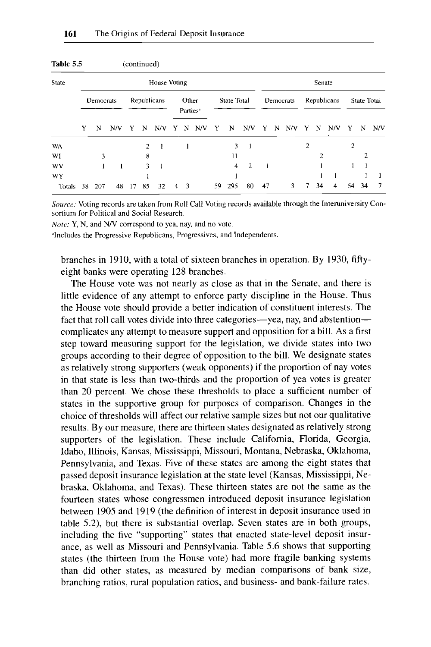| <b>State</b> |           |     |     |             |    | House Voting                  |   |                    |     |    |                |                         | Senate      |   |     |             |    |                |    |    |     |
|--------------|-----------|-----|-----|-------------|----|-------------------------------|---|--------------------|-----|----|----------------|-------------------------|-------------|---|-----|-------------|----|----------------|----|----|-----|
|              | Democrats |     |     | Republicans |    | Other<br>Parties <sup>®</sup> |   | <b>State Total</b> |     |    | Democrats      |                         | Republicans |   |     | State Total |    |                |    |    |     |
|              | Y         | N   | N/V | Y           | N  | N/V                           | Y | N                  | N/V | Y  | N              | N/V                     | Y           | N | N/V | Y           | N  | N/V            | Y  | N  | N/V |
| WA           |           |     |     |             | 2  | -1                            |   |                    |     |    | 3              |                         |             |   |     | 2           |    |                | 2  |    |     |
| WI           |           | 3   |     |             | 8  |                               |   |                    |     |    | $\mathbf{11}$  |                         |             |   |     |             | 2  |                |    | 2  |     |
| WV           |           |     |     |             | 3  | J                             |   |                    |     |    | $\overline{4}$ | $\overline{\mathbf{c}}$ |             |   |     |             |    |                |    |    |     |
| WY           |           |     |     |             |    |                               |   |                    |     |    |                |                         |             |   |     |             |    |                |    |    |     |
| Totals       | 38        | 207 | 48  | 17          | 85 | 32                            | 4 | - 3                |     | 59 | 295            | 80                      | 47          |   | 3   | $\tau$      | 34 | $\overline{4}$ | 54 | 34 | 7   |

**Table 5.5** (continued)

*Source;* Voting records are taken from Roll Call Voting records available through the Interuniversity Consortium for Political and Social Research.

*Note:* Y, N, and *N/V* correspond to yea, nay, and no vote.

<sup>a</sup>lncludes the Progressive Republicans, Progressives, and Independents.

branches in 1910, with a total of sixteen branches in operation. By 1930, fiftyeight banks were operating 128 branches.

The House vote was not nearly as close as that in the Senate, and there is little evidence of any attempt to enforce party discipline in the House. Thus the House vote should provide a better indication of constituent interests. The fact that roll call votes divide into three categories—yea, nay, and abstention complicates any attempt to measure support and opposition for a bill. **As** a first step toward measuring support for the legislation, we divide states into two groups according to their degree of opposition to the bill. We designate states as relatively strong supporters (weak opponents) if the proportion of nay votes in that state is less than two-thirds and the proportion of yea votes is greater than 20 percent. We chose these thresholds to place a sufficient number of states in the supportive group for purposes of comparison. Changes in the choice of thresholds will affect our relative sample sizes but not our qualitative results. By our measure, there are thirteen states designated as relatively strong supporters of the legislation. These include California, Florida, Georgia, Idaho, Illinois, Kansas, Mississippi, Missouri, Montana, Nebraska, Oklahoma, Pennsylvania, and Texas. Five of these states are among the eight states that passed deposit insurance legislation at the state level (Kansas, Mississippi, Nebraska, Oklahoma, and Texas). These thirteen states are not the same as the fourteen states whose congressmen introduced deposit insurance legislation between 1905 and 1919 (the definition of interest in deposit insurance used in table *5.2),* but there is substantial overlap. Seven states are in both groups, including the five "supporting" states that enacted state-level deposit insurance, as well as Missouri and Pennsylvania. Table 5.6 shows that supporting states (the thirteen from the House vote) had more fragile banking systems than did other states, as measured by median comparisons of bank size, branching ratios, rural population ratios, and business- and bank-failure rates.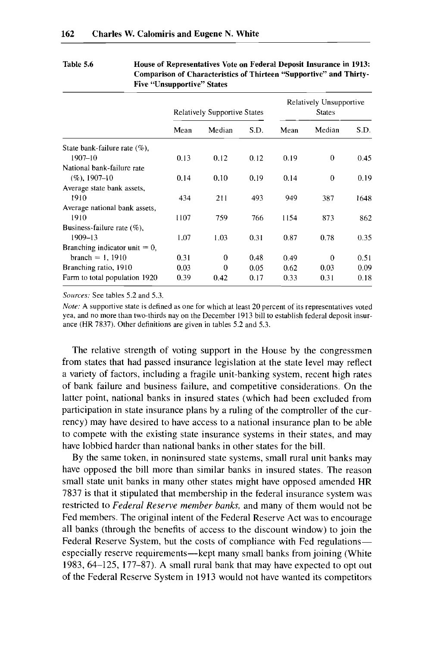|                                  |      | <b>Relatively Supportive States</b> |      | Relatively Unsupportive<br><b>States</b> |              |      |  |  |
|----------------------------------|------|-------------------------------------|------|------------------------------------------|--------------|------|--|--|
|                                  | Mean | Median                              | S.D. | Mean                                     | Median       | S.D. |  |  |
| State bank-failure rate $(\%)$ , |      |                                     |      |                                          |              |      |  |  |
| $1907 - 10$                      | 0.13 | 0.12                                | 0.12 | 0.19                                     | $\mathbf{0}$ | 0.45 |  |  |
| National bank-failure rate       |      |                                     |      |                                          |              |      |  |  |
| $(\%), 1907-10$                  | 0.14 | 0.10                                | 0.19 | 0.14                                     | $\Omega$     | 0.19 |  |  |
| Average state bank assets,       |      |                                     |      |                                          |              |      |  |  |
| 1910                             | 434  | 211                                 | 493  | 949                                      | 387          | 1648 |  |  |
| Average national bank assets,    |      |                                     |      |                                          |              |      |  |  |
| 1910                             | 1107 | 759                                 | 766  | 1154                                     | 873          | 862  |  |  |
| Business-failure rate $(\%)$ ,   |      |                                     |      |                                          |              |      |  |  |
| $1909 - 13$                      | 1.07 | 1.03                                | 0.31 | 0.87                                     | 0.78         | 0.35 |  |  |
| Branching indicator unit $= 0$ , |      |                                     |      |                                          |              |      |  |  |
| branch = $1, 1910$               | 0.31 | $\theta$                            | 0.48 | 0.49                                     | $\Omega$     | 0.51 |  |  |
| Branching ratio, 1910            | 0.03 | $\Omega$                            | 0.05 | 0.62                                     | 0.03         | 0.09 |  |  |
| Farm to total population 1920    | 0.39 | 0.42                                | 0.17 | 0.33                                     | 0.31         | 0.18 |  |  |

#### **Table 5.6 House of Representatives Vote on Federal Deposit Insurance in 1913: Comparison of Characteristics of Thirteen "Supportive" and Thirty-Five "Unsupportive" States**

*Sources:* See tables 5.2 and 5.3.

*Note:* A supportive state is defined as one for which at least 20 percent of its representatives voted yea, and no more than two-thirds nay on the December 1913 hill to establish federal deposit insurance (HR 7837). Other definitions are given in tables 5.2 and 5.3.

The relative strength of voting support in the House by the congressmen from states that had passed insurance legislation at the state level may reflect a variety of factors, including a fragile unit-banking system, recent high rates of bank failure and business failure, and competitive considerations. On the latter point, national banks in insured states (which had been excluded from participation in state insurance plans by a ruling of the comptroller of the currency) may have desired to have access to a national insurance plan to be able to compete with the existing state insurance systems in their states, and may have lobbied harder than national banks in other states for the bill.

By the same token, in noninsured state systems, small rural unit banks may have opposed the bill more than similar banks in insured states. The reason small state unit banks in many other states might have opposed amended HR 7837 is that it stipulated that membership in the federal insurance system was restricted to *Federal Reserve member banks*, and many of them would not be Fed members. The original intent of the Federal Reserve Act was to encourage all banks (through the benefits of access to the discount window) to join the Federal Reserve System, but the costs of compliance with Fed regulations especially reserve requirements—kept many small banks from joining (White 1983, 64-125, 177-87). **A** small rural bank that may have expected to opt out of the Federal Reserve System in 1913 would not have wanted its competitors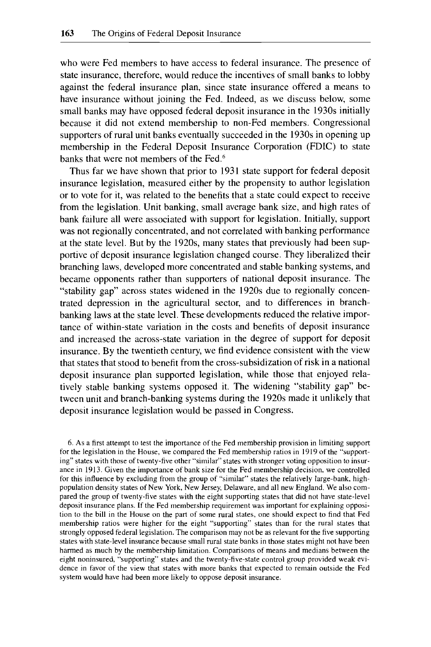who were Fed members to have access to federal insurance. The presence of state insurance, therefore, would reduce the incentives of small banks to lobby against the federal insurance plan, since state insurance offered a means to have insurance without joining the Fed. Indeed, as we discuss below, some small banks may have opposed federal deposit insurance in the 1930s initially because it did not extend membership to non-Fed members. Congressional supporters of rural unit banks eventually succeeded in the 1930s in opening up membership in the Federal Deposit Insurance Corporation (FDIC) to state banks that were not members of the Fed.<sup>6</sup>

Thus far we have shown that prior to 1931 state support for federal deposit insurance legislation, measured either by the propensity to author legislation or to vote for it, was related to the benefits that a state could expect to receive from the legislation. Unit banking, small average bank size, and high rates of bank failure all were associated with support for legislation. Initially, support was not regionally concentrated, and not correlated with banking performance at the state level. But by the 1920s, many states that previously had been supportive of deposit insurance legislation changed course. They liberalized their branching laws, developed more concentrated and stable banking systems, and became opponents rather than supporters of national deposit insurance. The "stability gap" across states widened in the 1920s due to regionally concentrated depression in the agricultural sector, and to differences in branchbanking laws at the state level. These developments reduced the relative importance of within-state variation in the costs and benefits of deposit insurance and increased the across-state variation in the degree of support for deposit insurance. By the twentieth century, we find evidence consistent with the view that states that stood to benefit from the cross-subsidization of risk in a national deposit insurance plan supported legislation, while those that enjoyed relatively stable banking systems opposed it. The widening "stability gap" between unit and branch-banking systems during the 1920s made it unlikely that deposit insurance legislation would be passed in Congress.

6. **As** a first attempt to test the importance *of* the Fed membership provision in limiting support for the legislation in the House, we compared the Fed membership ratios in 1919 of the "supporting" states with those of twenty-five other "similar" states with stronger voting opposition to insurance in 1913. Given the importance of bank size for the Fed membership decision, we controlled for this influence by excluding from the group of "similar" states the relatively large-bank, highpopulation density states of New **York,** New Jersey, Delaware, and all new England. We also compared the group of twenty-five states with the eight supporting states that did not have state-level deposit insurance plans. If the Fed membership requirement was important for explaining opposition to the bill in the House on the part of some rural states, one should expect to find that Fed membership ratios were higher for the eight "supporting" states than for the rural states that strongly opposed federal legislation. The comparison may not be as relevant for the five supporting states with state-level insurance because small rural state banks in those states might not have been harmed as much by the membership limitation. Comparisons of means and medians between the eight noninsured, "supporting" states and the twenty-five-state control group provided weak evidence in favor of the view that states with more banks that expected to remain outside the Fed system would have had been more likely to oppose deposit insurance.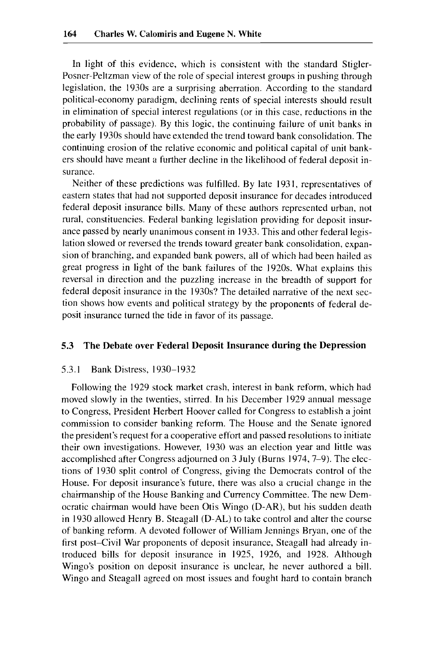In light of this evidence, which is consistent with the standard Stigler-Posner-Peltzman view of the role of special interest groups in pushing through legislation, the 1930s are a surprising aberration. According to the standard political-economy paradigm, declining rents of special interests should result in elimination of special interest regulations (or in this case, reductions in the probability of passage). By this logic, the continuing failure of unit banks in the early 1930s should have extended the trend toward bank consolidation. The continuing erosion of the relative economic and political capital of unit bankers should have meant a further decline in the likelihood of federal deposit insurance.

Neither of these predictions was fulfilled. By late 193 **1,** representatives of eastern states that had not supported deposit insurance for decades introduced federal deposit insurance bills. Many of these authors represented urban, not rural, constituencies. Federal banking legislation providing for deposit insurance passed by nearly unanimous consent in 1933. This and other federal legislation slowed or reversed the trends toward greater bank consolidation, expansion of branching, and expanded bank powers, all of which had been hailed as great progress in light of the bank failures of the 1920s. What explains this reversal in direction and the puzzling increase in the breadth of support for federal deposit insurance in the 1930s? The detailed narrative of the next section shows how events and political strategy by the proponents of federal deposit insurance turned the tide in favor of its passage.

#### **5.3 The Debate over Federal Deposit Insurance during the Depression**

#### 5.3.1 Bank Distress, 1930-1932

Following the 1929 stock market crash, interest in bank reform, which had moved slowly in the twenties, stirred. In his December 1929 annual message to Congress, President Herbert Hoover called for Congress to establish a joint commission to consider banking reform. The House and the Senate ignored the president's request for a cooperative effort and passed resolutions to initiate their own investigations. However, 1930 was an election year and little was accomplished after Congress adjourned on 3 July (Burns 1974,7-9). The elections of 1930 split control of Congress, giving the Democrats control of the House. For deposit insurance's future, there was also a crucial change in the chairmanship of the House Banking and Currency Committee. The new Democratic chairman would have been Otis Wingo (D-AR), but his sudden death in 1930 allowed Henry B. Steagall (D-AL) to take control and alter the course of banking reform. A devoted follower of William Jennings Bryan, one of the first post-Civil War proponents of deposit insurance, Steagall had already introduced bills for deposit insurance in 1925, 1926, and 1928. Although Wingo's position on deposit insurance is unclear, he never authored a bill. Wingo and Steagall agreed on most issues and fought hard to contain branch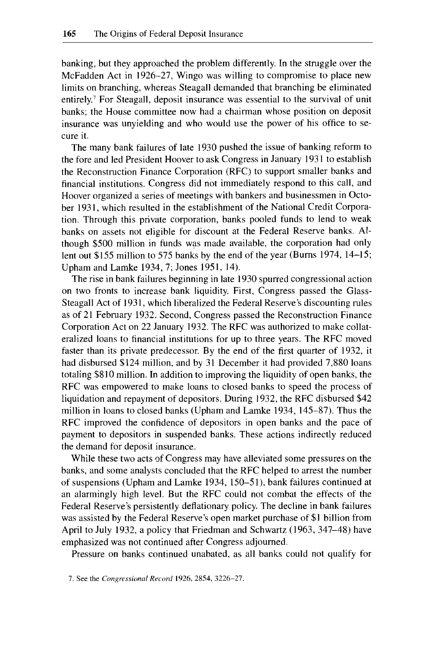banking, but they approached the problem differently. In the struggle over the McFadden Act in 1926-27, Wingo was willing to compromise to place new limits on branching, whereas Steagall demanded that branching be eliminated entirely.' For Steagall, deposit insurance was essential to the survival of unit banks; the House committee now had a chairman whose position on deposit insurance was unyielding and who would use the power of his office to secure it.

The many bank failures of late 1930 pushed the issue of banking reform to the fore and led President Hoover to ask Congress in January 1931 to establish the Reconstruction Finance Corporation (RFC) to support smaller banks and financial institutions. Congress did not immediately respond to this call, and Hoover organized a series of meetings with bankers and businessmen in October 1931, which resulted in the establishment of the National Credit Corporation. Through this private corporation, banks pooled funds to lend to weak banks on assets not eligible for discount at the Federal Reserve banks. Although \$500 million in funds was made available, the corporation had only lent out \$155 million to 575 banks by the end of the year (Bums 1974, 14-15; Upham and Lamke 1934,7; Jones 1951, 14).

The rise in bank failures beginning in late 1930 spurred congressional action on two fronts to increase bank liquidity. First, Congress passed the Glass-Steagall Act of 1931, which liberalized the Federal Reserve's discounting rules as of 21 February 1932. Second, Congress passed the Reconstruction Finance Corporation Act on 22 January 1932. The RFC was authorized to make collateralized loans to financial institutions for up to three years. The RFC moved faster than its private predecessor. By the end of the first quarter of 1932, it had disbursed \$124 million, and by 31 December it had provided 7,880 loans totaling \$810 million. In addition to improving the liquidity of open banks, the RFC was empowered to make loans to closed banks to speed the process of liquidation and repayment of depositors. During 1932, the RFC disbursed \$42 million in loans to closed banks (Upham and Lamke 1934, 145-87). Thus the RFC improved the confidence of depositors in open banks and the pace of payment to depositors in suspended banks. These actions indirectly reduced the demand for deposit insurance.

While these two acts of Congress may have alleviated some pressures on the banks, and some analysts concluded that the RFC helped to arrest the number of suspensions (Upham and Lamke 1934, 150-51), bank failures continued at an alarmingly high level. But the RFC could not combat the effects of the Federal Reserve's persistently deflationary policy. The decline in bank failures was assisted by the Federal Reserve's open market purchase of \$1 billion from April to July 1932, a policy that Friedman and Schwartz (1963, 347-48) have emphasized was not continued after Congress adjourned.

Pressure on banks continued unabated, as all banks could not qualify for

*I. See* **the** *Congressional Record* 1926,2854,3226-27.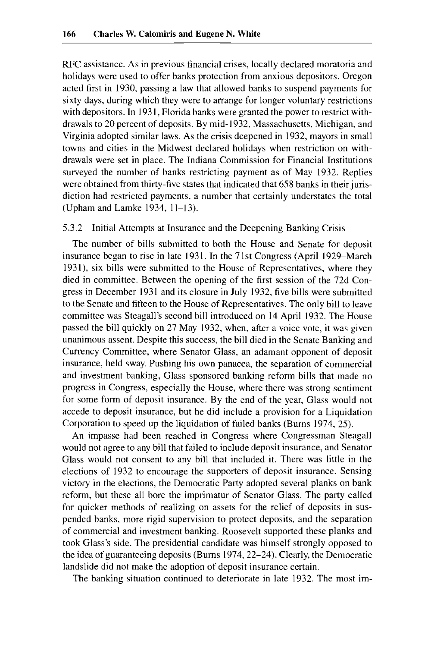RFC assistance. As in previous financial crises, locally declared moratoria and holidays were used to offer banks protection from anxious depositors. Oregon acted first in 1930, passing a law that allowed banks to suspend payments for sixty days, during which they were to arrange for longer voluntary restrictions with depositors. In 1931, Florida banks were granted the power to restrict withdrawals to 20 percent of deposits. By mid- 1932, Massachusetts, Michigan, and Virginia adopted similar laws. As the crisis deepened in 1932, mayors in small towns and cities in the Midwest declared holidays when restriction on withdrawals were set in place. The Indiana Commission for Financial Institutions surveyed the number of banks restricting payment as of May 1932. Replies were obtained from thirty-five states that indicated that 658 banks in their jurisdiction had restricted payments, a number that certainly understates the total (Upham and Lamke 1934, 11-13).

#### 5.3.2 Initial Attempts at Insurance and the Deepening Banking Crisis

The number of bills submitted to both the House and Senate for deposit insurance began to rise in late 1931. In the 71st Congress (April 1929–March 1931), six bills were submitted to the House of Representatives, where they died in committee. Between the opening of the first session of the 72d Congress in December 1931 and its closure in July 1932, five bills were submitted to the Senate and fifteen to the House of Representatives. The only bill to leave committee was Steagall's second bill introduced on 14 April 1932. The House passed the bill quickly on 27 May 1932, when, after a voice vote, it was given unanimous assent. Despite this success, the bill died in the Senate Banking and Currency Committee, where Senator Glass, an adamant opponent of deposit insurance, held sway. Pushing his own panacea, the separation of commercial and investment banking, Glass sponsored banking reform bills that made no progress in Congress, especially the House, where there was strong sentiment for some form of deposit insurance. By the end of the year, Glass would not accede to deposit insurance, but he did include a provision for a Liquidation Corporation to speed up the liquidation of failed banks (Bums 1974, 25).

An impasse had been reached in Congress where Congressman Steagall would not agree to any bill that failed to include deposit insurance, and Senator Glass would not consent to any bill that included it. There was little in the elections of 1932 to encourage the supporters of deposit insurance. Sensing victory in the elections, the Democratic Party adopted several planks on bank reform, but these all bore the imprimatur of Senator Glass. The party called for quicker methods of realizing on assets for the relief of deposits in suspended banks, more rigid supervision to protect deposits, and the separation of commercial and investment banking. Roosevelt supported these planks and took Glass's side. The presidential candidate was himself strongly opposed to the idea of guaranteeing deposits (Bums 1974,22-24). Clearly, the Democratic landslide did not make the adoption of deposit insurance certain.

The banking situation continued to deteriorate in late 1932. The most im-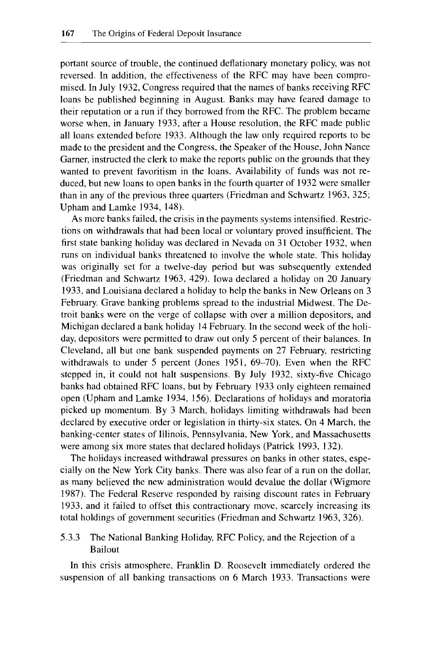portant source of trouble, the continued deflationary monetary policy, was not reversed. In addition, the effectiveness of the RFC may have been compromised. In July 1932, Congress required that the names of banks receiving RFC loans be published beginning in August. Banks may have feared damage to their reputation or a run if they borrowed from the RFC. The problem became worse when, in January 1933, after a House resolution, the RFC made public all loans extended before 1933. Although the law only required reports to be made to the president and the Congress, the Speaker of the House, John Nance Garner, instructed the clerk to make the reports public on the grounds that they wanted to prevent favoritism in the loans. Availability of funds was not reduced, but new loans to open banks in the fourth quarter of 1932 were smaller than in any of the previous three quarters (Friedman and Schwartz 1963, 325; Upham and Lamke 1934, 148).

**As** more banks failed, the crisis in the payments systems intensified. Restrictions on withdrawals that had been local or voluntary proved insufficient. The first state banking holiday was declared in Nevada on 31 October 1932, when runs on individual banks threatened to involve the whole state. This holiday was originally set for a twelve-day period but was subsequently extended (Friedman and Schwartz 1963, 429). Iowa declared a holiday on 20 January 1933, and Louisiana declared a holiday to help the banks in New Orleans on 3 February. Grave banking problems spread to the industrial Midwest. The Detroit banks were on the verge of collapse with over a million depositors, and Michigan declared a bank holiday 14 February. In the second week of the holiday, depositors were permitted to draw out only 5 percent of their balances. In Cleveland, all but one bank suspended payments on 27 February, restricting withdrawals to under 5 percent (Jones 1951, 69-70). Even when the RFC stepped in, it could not halt suspensions. By July 1932, sixty-five Chicago banks had obtained RFC loans, but by February 1933 only eighteen remained open (Upham and Lamke 1934, 156). Declarations of holidays and moratoria picked up momentum. By 3 March, holidays limiting withdrawals had been declared by executive order or legislation in thirty-six states. On 4 March, the banking-center states of Illinois, Pennsylvania, New York, and Massachusetts were among six more states that declared holidays (Patrick 1993, 132).

The holidays increased withdrawal pressures on banks in other states, especially on the New York City banks. There was also fear of a run on the dollar, as many believed the new administration would devalue the dollar (Wigmore 1987). The Federal Reserve responded by raising discount rates in February 1933, and it failed to offset this contractionary move, scarcely increasing its total holdings of government securities (Friedman and Schwartz 1963,326).

### 5.3.3 The National Banking Holiday, RFC Policy, and the Rejection of a Bailout

In this crisis atmosphere, Franklin D. Roosevelt immediately ordered the suspension of all banking transactions on 6 March 1933. Transactions were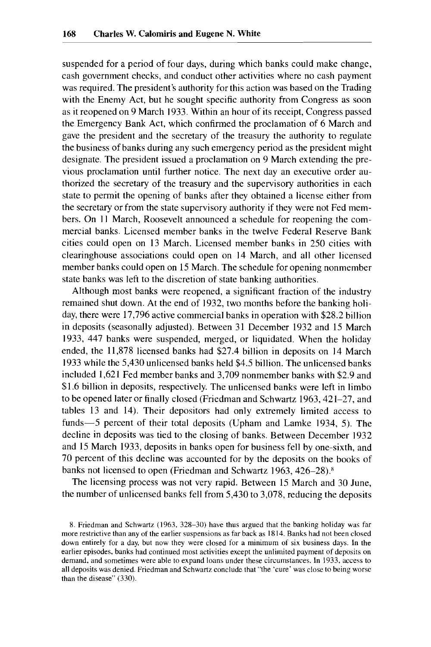suspended for a period of four days, during which banks could make change, cash government checks, and conduct other activities where no cash payment was required. The president's authority for this action was based on the Trading with the Enemy Act, but he sought specific authority from Congress as soon as it reopened on 9 March 1933. Within an hour of its receipt, Congress passed the Emergency Bank Act, which confirmed the proclamation of 6 March and gave the president and the secretary of the treasury the authority to regulate the business of banks during any such emergency period as the president might designate. The president issued a proclamation on 9 March extending the previous proclamation until further notice. The next day an executive order authorized the secretary of the treasury and the supervisory authorities in each state to permit the opening of banks after they obtained a license either from the secretary or from the state supervisory authority if they were not Fed members. On 11 March, Roosevelt announced a schedule for reopening the commercial banks. Licensed member banks in the twelve Federal Reserve Bank cities could open on 13 March. Licensed member banks in 250 cities with clearinghouse associations could open on 14 March, and all other licensed member banks could open on 15 March. The schedule for opening nonmember state banks was left to the discretion of state banking authorities.

Although most banks were reopened, a significant fraction of the industry remained shut down. At the end of 1932, two months before the banking holiday, there were 17,796 active commercial banks in operation with \$28.2 billion in deposits (seasonally adjusted). Between 31 December 1932 and 15 March 1933, 447 banks were suspended, merged, or liquidated. When the holiday ended, the 11,878 licensed banks had \$27.4 billion in deposits on 14 March 1933 while the 5,430 unlicensed banks held \$4.5 billion. The unlicensed banks included 1,621 Fed member banks and 3,709 nonmember banks with \$2.9 and \$1.6 billion in deposits, respectively. The unlicensed banks were left in limbo to be opened later or finally closed (Friedman and Schwartz 1963, 421-27, and tables 13 and 14). Their depositors had only extremely limited access to funds-5 percent of their total deposits (Upham and Lamke 1934, 5). The decline in deposits was tied to the closing of banks. Between December 1932 and 15 March 1933, deposits in banks open for business fell by one-sixth, and 70 percent of this decline was accounted for by the deposits on the books of banks not licensed to open (Friedman and Schwartz 1963, 426-28).<sup>8</sup>

The licensing process was not very rapid. Between 15 March and 30 June, the number of unlicensed banks fell from 5,430 to 3,078, reducing the deposits

<sup>8.</sup> Friedman and Schwartz (1963, 328-30) have thus argued that the banking holiday was far more restrictive than any of the earlier suspensions as far back as I8 14. Banks had not been closed down entirely for a day, but now they were closed for a minimum of six business days. In the earlier episodes, banks had continued most activities except the unlimited payment of deposits on demand, and sometimes were able to expand loans under these circumstances. In 1933, access to all deposits was denied. Friedman and Schwartz conclude that "the 'cure' was close to being worse than the disease" (330).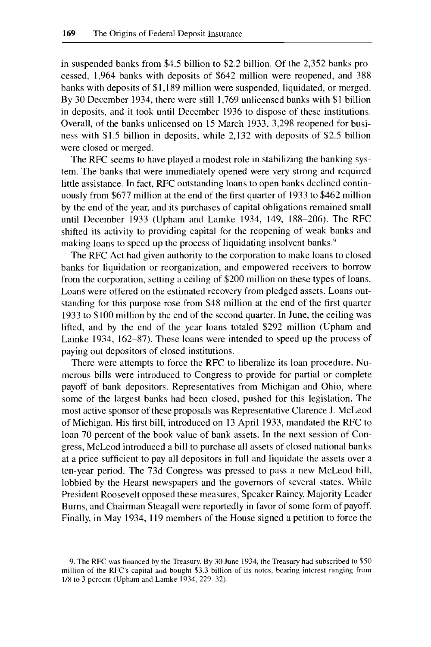in suspended banks from \$4.5 billion to \$2.2 billion. Of the 2,352 banks processed, 1,964 banks with deposits of \$642 million were reopened, and 388 banks with deposits of \$1,189 million were suspended, liquidated, or merged. By 30 December 1934, there were still 1,769 unlicensed banks with **\$1** billion in deposits, and it took until December 1936 to dispose of these institutions. Overall, of the banks unlicensed on 15 March 1933, 3,298 reopened for business with \$1.5 billion in deposits, while 2,132 with deposits of \$2.5 billion were closed or merged.

The RFC seems to have played a modest role in stabilizing the banking system. The banks that were immediately opened were very strong and required little assistance. In fact, RFC outstanding loans to open banks declined continuously from \$677 million at the end of the first quarter of 1933 to \$462 million by the end of the year, and its purchases of capital obligations remained small until December 1933 (Upham and Lamke 1934, 149, 188-206). The RFC shifted its activity to providing capital for the reopening of weak banks and making loans to speed up the process of liquidating insolvent banks.<sup>9</sup>

The RFC Act had given authority to the corporation to make loans to closed banks for liquidation or reorganization, and empowered receivers to borrow from the corporation, setting a ceiling of \$200 million on these types of loans. Loans were offered on the estimated recovery from pledged assets. Loans outstanding for this purpose rose from \$48 million at the end of the first quarter 1933 to \$100 million by the end of the second quarter. In June, the ceiling was lifted, and by the end of the year loans totaled \$292 million (Upham and Lamke 1934, 162-87). These loans were intended to speed up the process of paying out depositors of closed institutions.

There were attempts to force the RFC to liberalize its loan procedure. Numerous bills were introduced to Congress to provide for partial or complete payoff of bank depositors. Representatives from Michigan and Ohio, where some of the largest banks had been closed, pushed for this legislation. The most active sponsor of these proposals was Representative Clarence J. McLeod of Michigan. His first bill, introduced on I3 April 1933, mandated the RFC to loan 70 percent of the book value of bank assets. In the next session of Congress, McLeod introduced a bill to purchase all assets of closed national banks at a price sufficient to pay all depositors in full and liquidate the assets over a ten-year period. The 73d Congress was pressed to pass a new McLeod bill, lobbied by the Hearst newspapers and the governors of several states. While President Roosevelt opposed these measures, Speaker Rainey, Majority Leader Burns, and Chairman Steagall were reportedly in favor of some form of payoff. Finally, in May 1934, 119 members of the House signed a petition to force the

<sup>9.</sup> The RFC was financed by the Treasury. By 30 June 1934, the Treasury had subscribed to \$50 million of the RFC's capital and bought \$3.3 billion of its notes, bearing interest ranging from 1/8 to 3 percent (Upham and Lamke 1934,229-32).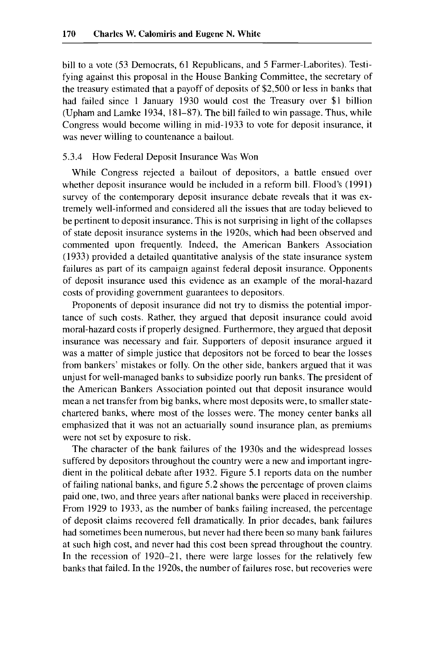bill to a vote (53 Democrats, 61 Republicans, and *5* Farmer-Laborites). Testifying against this proposal in the House Banking Committee, the secretary of the treasury estimated that a payoff of deposits of \$2,500 or less in banks that had failed since 1 January 1930 would cost the Treasury over \$1 billion (Upham and Lamke 1934, 181-87). The bill failed to win passage. Thus, while Congress would become willing in mid-1933 to vote for deposit insurance, it was never willing to countenance a bailout.

#### 5.3.4 How Federal Deposit Insurance Was Won

While Congress rejected a bailout of depositors, a battle ensued over whether deposit insurance would be included in a reform bill. Flood's (1991) survey of the contemporary deposit insurance debate reveals that it was extremely well-informed and considered all the issues that are today believed to be pertinent to deposit insurance. This is not surprising in light of the collapses of state deposit insurance systems in the 1920s, which had been observed and commented upon frequently. Indeed, the American Bankers Association (1933) provided a detailed quantitative analysis of the state insurance system failures as part of its campaign against federal deposit insurance. Opponents of deposit insurance used this evidence as an example of the moral-hazard costs of providing government guarantees to depositors.

Proponents of deposit insurance did not try to dismiss the potential importance of such costs. Rather, they argued that deposit insurance could avoid moral-hazard costs if properly designed. Furthermore, they argued that deposit insurance was necessary and fair. Supporters of deposit insurance argued it was a matter of simple justice that depositors not be forced to bear the losses from bankers' mistakes or folly. On the other side, bankers argued that it was unjust for well-managed banks to subsidize poorly run banks. The president of the American Bankers Association pointed out that deposit insurance would mean a net transfer from big banks, where most deposits were, to smaller statechartered banks, where most of the losses were. The money center banks all emphasized that it was not an actuarially sound insurance plan, as premiums were not set by exposure to risk.

The character of the bank failures of the 1930s and the widespread losses suffered by depositors throughout the country were a new and important ingredient in the political debate after 1932. Figure 5.1 reports data on the number of failing national banks, and figure 5.2 shows the percentage of proven claims paid one, two, and three years after national banks were placed in receivership. From I929 to 1933, as the number of banks failing increased, the percentage of deposit claims recovered fell dramatically. In prior decades, bank failures had sometimes been numerous, but never had there been so many bank failures at such high cost, and never had this cost been spread throughout the country. In the recession of 1920-21, there were large losses for the relatively few banks that failed. In the 192Os, the number of failures rose, but recoveries were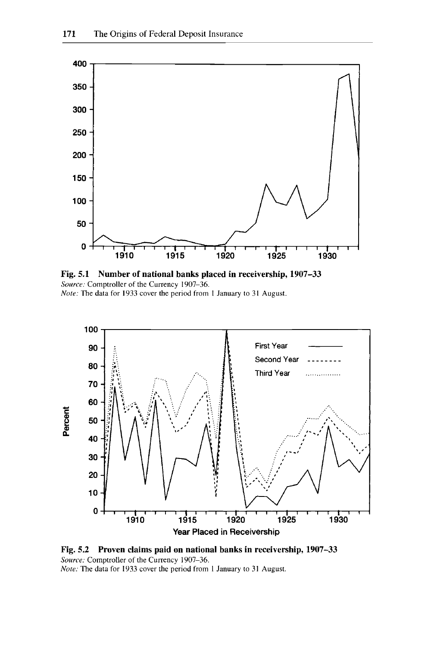

**Fig. 5.1 Number of national banks placed in receivership, 1907-33**  *Source;* Comptroller of the Currency 1907-36. *Note:* The data for 1933 cover the period from 1 January to 31 August.



**Fig. 5.2 Proven claims paid on national banks in receivership, 1907-33**  *Source:* Comptroller of the Currency 1907-36. *Nore:* The data for 1933 cover the period from 1 January to 31 August.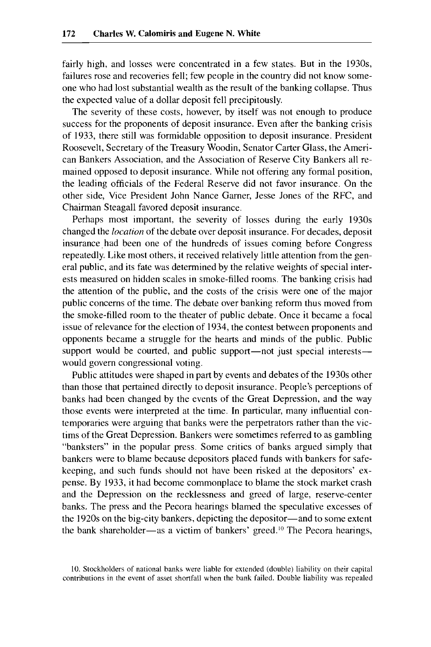fairly high, and losses were concentrated in a few states. But in the 1930s, failures rose and recoveries fell; few people in the country did not know someone who had lost substantial wealth as the result of the banking collapse. Thus the expected value of a dollar deposit fell precipitously.

The severity of these costs, however, by itself was not enough to produce success for the proponents of deposit insurance. Even after the banking crisis of 1933, there still was formidable opposition to deposit insurance. President Roosevelt, Secretary of the Treasury Woodin, Senator Carter Glass, the American Bankers Association, and the Association of Reserve City Bankers all remained opposed to deposit insurance. While not offering any formal position, the leading officials of the Federal Reserve did not favor insurance. On the other side, Vice President John Nance Garner, Jesse Jones of the RFC, and Chairman Steagall favored deposit insurance.

Perhaps most important, the severity of losses during the early 1930s changed the *location* of the debate over deposit insurance. For decades, deposit insurance had been one of the hundreds of issues coming before Congress repeatedly. Like most others, it received relatively little attention from the general public, and its fate was determined by the relative weights of special interests measured on hidden scales in smoke-filled rooms. The banking crisis had the attention of the public, and the costs of the crisis were one of the major public concerns of the time. The debate over banking reform thus moved from the smoke-filled room to the theater of public debate. Once it became a focal issue of relevance for the election of 1934, the contest between proponents and opponents became a struggle for the hearts and minds of the public. Public support would be courted, and public support-not just special interestswould govern congressional voting.

Public attitudes were shaped in part by events and debates of the 1930s other than those that pertained directly to deposit insurance. People's perceptions of banks had been changed by the events of the Great Depression, and the way those events were interpreted at the time. In particular, many influential contemporaries were arguing that banks were the perpetrators rather than the victims of the Great Depression. Bankers were sometimes referred to as gambling "banksters" in the popular press. Some critics of banks argued simply that bankers were to blame because depositors placed funds with bankers for safekeeping, and such funds should not have been risked at the depositors' expense. By 1933, it had become commonplace to blame the stock market crash and the Depression on the recklessness and greed of large, reserve-center banks. The press and the Pecora hearings blamed the speculative excesses of the 1920s on the big-city bankers, depicting the depositor—and to some extent the bank shareholder—as a victim of bankers' greed.<sup>10</sup> The Pecora hearings,

<sup>10.</sup> Stockholderr of national banks were liable for extended (double) liability on their capital contributions in the event of asset shortfall when the bank failed. Double liability was repealed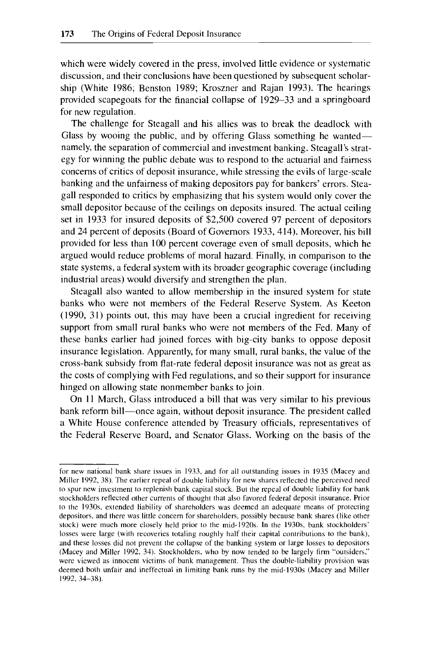which were widely covered in the press, involved little evidence or systematic discussion, and their conclusions have been questioned by subsequent scholarship (White 1986; Benston 1989; Kroszner and Rajan 1993). The hearings provided scapegoats for the financial collapse of 1929-33 and a springboard for new regulation.

The challenge for Steagall and his allies was to break the deadlock with Glass by wooing the public, and by offering Glass something he wantednamely, the separation of commercial and investment banking. Steagall's strategy for winning the public debate was to respond to the actuarial and fairness concerns of critics of deposit insurance, while stressing the evils of large-scale banking and the unfairness of making depositors pay for bankers' errors. Steagall responded to critics by emphasizing that his system would only cover the small depositor because of the ceilings on deposits insured. The actual ceiling set in 1933 for insured deposits of \$2,500 covered 97 percent of depositors and 24 percent of deposits (Board of Governors 1933,414). Moreover, his bill provided for less than 100 percent coverage even of small deposits, which he argued would reduce problems of moral hazard. Finally, in comparison to the state systems, a federal system with its broader geographic coverage (including industrial areas) would diversify and strengthen the plan.

Steagall also wanted to allow membership in the insured system for state banks who were not members of the Federal Reserve System. **As** Keeton (1990, 31) points out, this may have been a crucial ingredient for receiving support from small rural banks who were not members of the Fed. Many of these banks earlier had joined forces with big-city banks to oppose deposit insurance legislation. Apparently, for many small, rural banks, the value of the cross-bank subsidy from flat-rate federal deposit insurance was not as great as the costs of complying with Fed regulations, and so their support for insurance hinged on allowing state nonmember banks to join.

On 11 March, Glass introduced a bill that was very similar to his previous bank reform bill—once again, without deposit insurance. The president called a White House conference attended by Treasury officials, representatives of the Federal Reserve Board, and Senator Glass. Working on the basis of the

for new national bank share issues in 1933, and for all outstanding issues in 1935 (Macey and Miller 1992, 38). The earlier repeal of double liability for new shares reflected the perceived need to spur new invcstment to replenish bank capital stock. But the repeal of double liability for bank stockholders reflected other currents of thought that **a150** favored federal deposit insurance. Prior to the 19309, extended liability of shareholders was deemed an adequate means of protecting depositors, and there was little concern for shareholders, possibly because bank shares (like other stock) were much more closely held prior to the mid-1920s. In the 1930s, bank stockholders' losses were large (with recoveries totaling roughly half their capital contributions to the bank), and these losses did not prevent the collapse of the banking system or large losses to depositors (Macey and Miller 1992. 34). Stockholders, who by now tended to be largely firm "outsiders," were viewed as innocent victims of bank management. Thus the double-liability provision was deemed both unfair and ineffectual in limiting bank runs by the mid-1930s (Macey and Miller 1092, 34-38).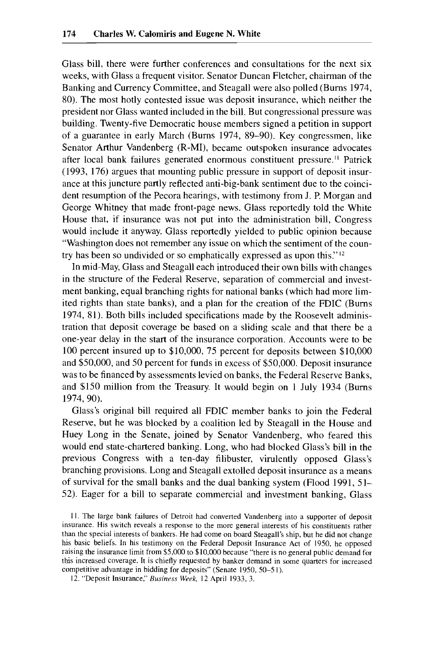Glass bill, there were further conferences and consultations for the next six weeks, with Glass a frequent visitor. Senator Duncan Fletcher, chairman of the Banking and Currency Committee, and Steagall were also polled (Burns 1974, 80). The most hotly contested issue was deposit insurance, which neither the president nor Glass wanted included in the bill. But congressional pressure was building. Twenty-five Democratic house members signed a petition in support of a guarantee in early March (Burns 1974, 89-90). Key congressmen, like Senator Arthur Vandenberg (R-MI), became outspoken insurance advocates after local bank failures generated enormous constituent pressure." Patrick (1993, 176) argues that mounting public pressure in support of deposit insurance at this juncture partly reflected anti-big-bank sentiment due to the coincident resumption of the Pecora hearings, with testimony from J. P. Morgan and George Whitney that made front-page news. Glass reportedly told the White House that, if insurance was not put into the administration bill, Congress would include it anyway. Glass reportedly yielded to public opinion because ''Washington does not remember any issue on which the sentiment of the country has been so undivided or so emphatically expressed as upon this."<sup>12</sup>

In mid-May, Glass and Steagall each introduced their own bills with changes in the structure of the Federal Reserve, separation of commercial and investment banking, equal branching rights for national banks (which had more limited rights than state banks), and a plan for the creation of the FDIC (Bums 1974, 81). Both bills included specifications made by the Roosevelt administration that deposit coverage be based on a sliding scale and that there be a one-year delay in the start of the insurance corporation. Accounts were to be 100 percent insured up to \$10,000, 75 percent for deposits between \$10,000 and \$50,000, and 50 percent for funds in excess of \$50,000. Deposit insurance was to be financed by assessments levied on banks, the Federal Reserve Banks, and \$150 million from the Treasury. It would begin on 1 July 1934 (Burns 1974,90).

Glass's original bill required all FDIC member banks to join the Federal Reserve, but he was blocked by a coalition led by Steagall in the House and Huey Long in the Senate, joined by Senator Vandenberg, who feared this would end state-chartered banking. Long, who had blocked Glass's bill in the previous Congress with a ten-day filibuster, virulently opposed Glass's branching provisions. Long and Steagall extolled deposit insurance as a means of survival for the small banks and the dual banking system (Flood 1991, 5 **1-**  52). Eager for a bill to separate commercial and investment banking, Glass

12. "Deposit Insurance," *Business Week,* 12 April **1933,** *3.* 

<sup>11.</sup> The large bank failures of Detroit had converted Vandenberg into a supporter of deposit insurance. His switch reveals a response to the more general interests of his constituents rather than the special interests of hankers. He had come on board Steagall's ship, but he did not change his basic beliefs. In his testimony on the Federal Deposit Insurance Act of 1950, he opposed raising the insurance limit from \$5,000 to \$10,000 because "there is no general public demand for this increased coverage. It is chiefly requested by banker demand in some quarters for increased competitive advantage in bidding for deposits" (Senate 1950, 50-5 I).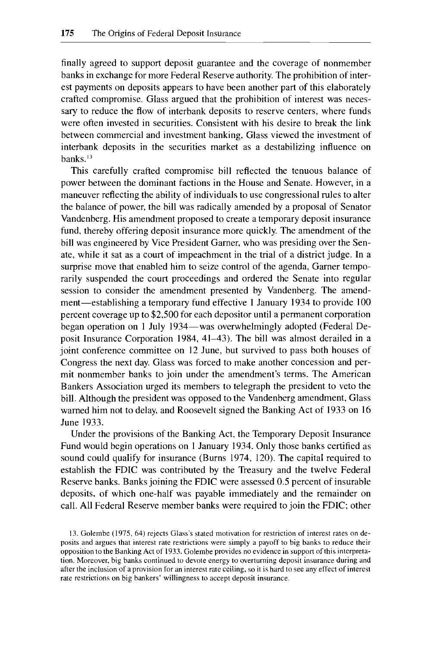finally agreed to support deposit guarantee and the coverage of nonmember banks in exchange for more Federal Reserve authority. The prohibition of interest payments on deposits appears to have been another part of this elaborately crafted compromise. Glass argued that the prohibition of interest was necessary to reduce the flow of interbank deposits to reserve centers, where funds were often invested in securities. Consistent with his desire to break the link between commercial and investment banking, Glass viewed the investment of interbank deposits in the securities market as a destabilizing influence on banks.<sup>13</sup>

This carefully crafted compromise bill reflected the tenuous balance of power between the dominant factions in the House and Senate. However, in a maneuver reflecting the ability of individuals to use congressional rules to alter the balance of power, the bill was radically amended by a proposal of Senator Vandenberg. His amendment proposed to create a temporary deposit insurance fund, thereby offering deposit insurance more quickly. The amendment of the bill was engineered by Vice President Garner, who was presiding over the Senate, while it sat as a court of impeachment in the trial of a district judge. In a surprise move that enabled him to seize control of the agenda, Gamer temporarily suspended the court proceedings and ordered the Senate into regular session to consider the amendment presented by Vandenberg. The amendment—establishing a temporary fund effective 1 January 1934 to provide 100 percent coverage up to \$2,500 for each depositor until a permanent corporation began operation on **1** July 1934-was overwhelmingly adopted (Federal Deposit Insurance Corporation 1984, 41-43). The bill was almost derailed in a joint conference committee on 12 June, but survived to pass both houses of Congress the next day. Glass was forced to make another concession and permit nonmember banks to join under the amendment's terms. The American Bankers Association urged its members to telegraph the president to veto the bill. Although the president was opposed to the Vandenberg amendment, Glass warned him not to delay, and Roosevelt signed the Banking Act of 1933 on 16 June 1933.

Under the provisions of the Banking Act, the Temporary Deposit Insurance Fund would begin operations on 1 January 1934. Only those banks certified as sound could qualify for insurance (Burns 1974, 120). The capital required to establish the FDIC was contributed by the Treasury and the twelve Federal Reserve banks. Banks joining the FDIC were assessed 0.5 percent of insurable deposits, of which one-half was payable immediately and the remainder on call. All Federal Reserve member banks were required to join the FDIC; other

13. Golembe (1975, 64) rejects Glass's stated motivation for restriction of interest rates on deposits and argues that interest rate restrictions were simply a payoff to big banks to reduce their opposition to the Banking Act of 1933. Golembe provides no evidence in support of this interpretation. Moreover, big banks continued to devote energy to overturning deposit insurance during and after the inclusion of a provision for an interest rate ceiling, so it is hard to see any effect of interest rate restrictions on big hankers' willingness to accept deposit insurance.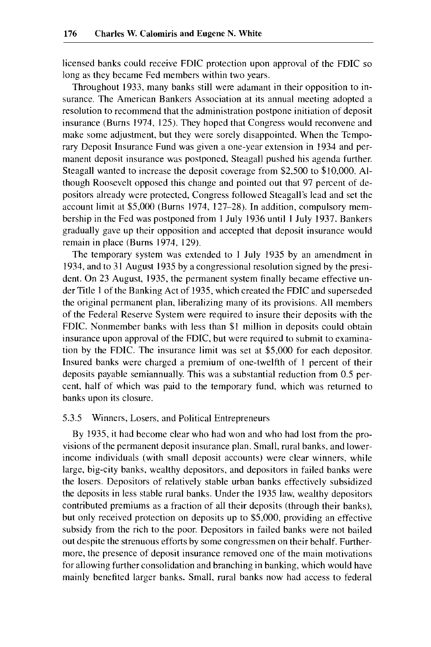licensed banks could receive FDIC protection upon approval of the FDIC so long as they became Fed members within two years.

Throughout 1933, many banks still were adamant in their opposition to insurance. The American Bankers Association at its annual meeting adopted a resolution to recommend that the administration postpone initiation of deposit insurance (Burns 1974, 125). They hoped that Congress would reconvene and make some adjustment, but they were sorely disappointed. When the Temporary Deposit Insurance Fund was given a one-year extension in 1934 and permanent deposit insurance was postponed, Steagall pushed his agenda further. Steagall wanted to increase the deposit coverage from \$2,500 to \$10,000. Although Roosevelt opposed this change and pointed out that 97 percent of depositors already were protected, Congress followed Steagall's lead and set the account limit at \$5,000 (Burns 1974, 127-28). In addition, compulsory membership in the Fed was postponed from 1 July 1936 until I July 1937. Bankers gradually gave up their opposition and accepted that deposit insurance would remain in place (Bums 1974, 129).

The temporary system was extended to 1 July 1935 by an amendment in 1934, and to 3 1 August 1935 by a congressional resolution signed by the president. On 23 August, 1935, the permanent system finally became effective under Title I of the Banking Act of 1935, which created the FDIC and superseded the original permanent plan, liberalizing many of its provisions. All members of the Federal Reserve System were required to insure their deposits with the FDIC. Nonmember banks with less than \$1 million in deposits could obtain insurance upon approval of the FDIC, but were required to submit to examination by the FDIC. The insurance limit was set at \$5,000 for each depositor. Insured banks were charged a premium of one-twelfth of 1 percent of their deposits payable semiannually. This was a substantial reduction from 0.5 percent, half of which was paid to the temporary fund, which was returned to banks upon its closure.

#### 5.3.5 Winners, Losers, and Political Entrepreneurs

By 1935, it had become clear who had won and who had lost from the provisions of the permanent deposit insurance plan. Small, rural banks, and lowerincome individuals (with small deposit accounts) were clear winners, while large, big-city banks, wealthy depositors, and depositors in failed banks were the losers. Depositors of relatively stable urban banks effectively subsidized the deposits in less stable rural banks. Under the 1935 law, wealthy depositors contributed premiums as a fraction of all their deposits (through their banks), but only received protection on deposits up to \$5,000, providing an effective subsidy from the rich to the poor. Depositors in failed banks were not bailed out despite the strenuous efforts by some congressmen on their behalf. Furthermore, the presence of deposit insurance removed one of the main motivations for allowing further consolidation and branching in banking, which would have mainly benefited larger banks. Small, rural banks now had access to federal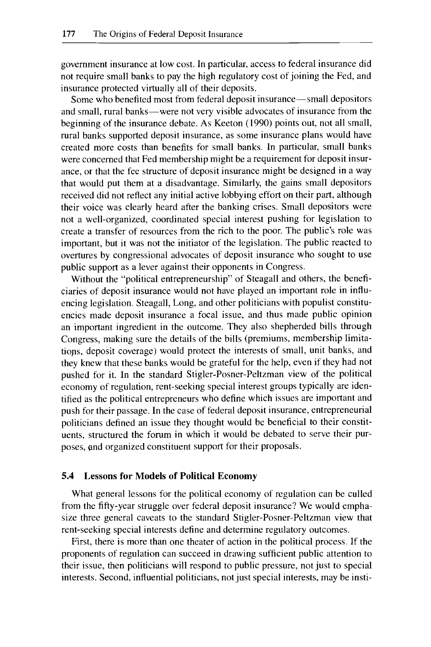government insurance at low cost. In particular, access to federal insurance did not require small banks to pay the high regulatory cost of joining the Fed, and insurance protected virtually all of their deposits.

Some who benefited most from federal deposit insurance—small depositors and small, rural banks—were not very visible advocates of insurance from the beginning of the insurance debate. **As** Keeton (1990) points out, not all small, rural banks supported deposit insurance, as some insurance plans would have created more costs than benefits for small banks. In particular, small banks were concerned that Fed membership might be a requirement for deposit insurance, or that the fee structure of deposit insurance might be designed in a way that would put them at a disadvantage. Similarly, the gains small depositors received did not reflect any initial active lobbying effort on their part, although their voice was clearly heard after the banking crises. Small depositors were not a well-organized, coordinated special interest pushing for legislation to create a transfer of resources from the rich to the poor. The public's role was important, but it was not the initiator of the legislation. The public reacted to overtures by congressional advocates of deposit insurance who sought to use public support as a lever against their opponents in Congress.

Without the "political entrepreneurship" of Steagall and others, the beneficiaries of deposit insurance would not have played an important role in influencing legislation. Steagall, Long, and other politicians with populist constituencies made deposit insurance a focal issue, and thus made public opinion an important ingredient in the outcome. They also shepherded bills through Congress, making sure the details of the bills (premiums, membership limitatiops, deposit coverage) would protect the interests of small, unit banks, and they knew that these banks would be grateful for the help, even if they had not pushed for it. In the standard Stigler-Posner-Peltzman view of the political economy of regulation, rent-seeking special interest groups typically are identified as the political entrepreneurs who define which issues are important and push for their passage. In the case of federal deposit insurance, entrepreneurial politicians defined an issue they thought would be beneficial to their constituents, structured the forum in which it would be debated to serve their purposes, and organized constituent support for their proposals.

#### **5.4 Lessons for Models of Political Economy**

What general lessons for the political economy of regulation can be culled from the fifty-year struggle over federal deposit insurance? We would emphasize three general caveats to the standard Stigler-Posner-Peltzman view that rent-seeking special interests define and determine regulatory outcomes.

First, there is more than one theater of action in the political process. If the proponents of regulation can succeed in drawing sufficient public attention to their issue, then politicians will respond to public pressure, not just to special interests. Second, influential politicians, not just special interests, may be insti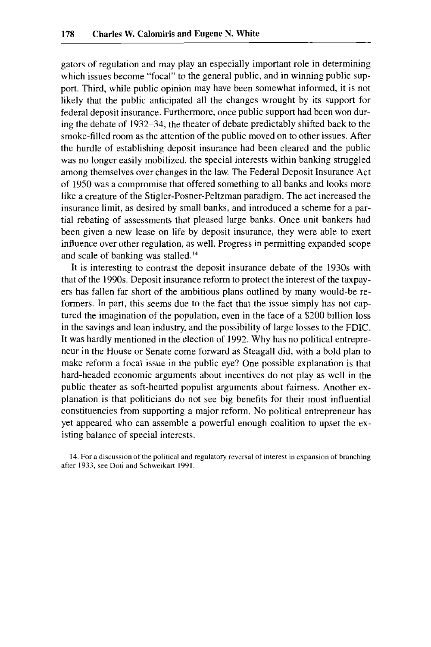gators of regulation and may play an especially important role in determining which issues become "focal" to the general public, and in winning public support. Third, while public opinion may have been somewhat informed, it is not likely that the public anticipated all the changes wrought by its support for federal deposit insurance. Furthermore, once public support had been won during the debate of 1932-34, the theater of debate predictably shifted back to the smoke-filled room as the attention of the public moved on to other issues. After the hurdle of establishing deposit insurance had been cleared and the public was no longer easily mobilized, the special interests within banking struggled among themselves over changes in the law. The Federal Deposit Insurance Act of 1950 was a compromise that offered something to all banks and looks more like a creature of the Stigler-Posner-Peltzman paradigm. The act increased the insurance limit, as desired by small banks, and introduced a scheme for a partial rebating of assessments that pleased large banks. Once unit bankers had been given a new lease on life by deposit insurance, they were able to exert influence Over other regulation, as well. Progress in permitting expanded scope and scale of banking was stalled.<sup>14</sup>

It is interesting to contrast the deposit insurance debate of the 1930s with that of the 1990s. Deposit insurance reform to protect the interest of the taxpayers has fallen far short of the ambitious plans outlined by many would-be reformers. In part, this seems due to the fact that the issue simply has not captured the imagination of the population, even in the face of a \$200 billion loss in the savings and loan industry, and the possibility of large losses to the FDIC. It was hardly mentioned in the election of 1992. Why has no political entrepreneur in the House or Senate come forward as Steagall did, with a bold plan to make reform a focal issue in the public eye? One possible explanation is that hard-headed economic arguments about incentives do not play as well in the public theater as soft-hearted populist arguments about fairness. Another explanation is that politicians do not see big benefits for their most influential constituencies from supporting a major reform. No political entrepreneur has yet appeared who can assemble a powerful enough coalition to upset the existing balance of special interests.

14. For a discussion of the political and regulatory reversal of interest in expansion of branching after 1933, see Doti and Schweikart 1991.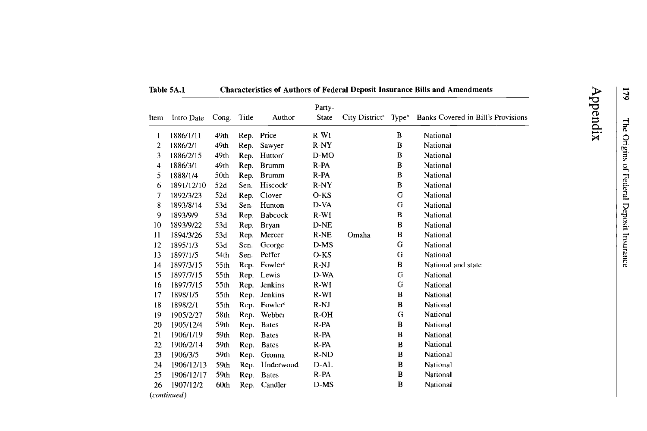| Item           | Intro Date  | Cong. Title |      | Author               | Party-<br><b>State</b> | City District <sup>a</sup> Type <sup>b</sup> |          | Banks Covered in Bill's Provisions |
|----------------|-------------|-------------|------|----------------------|------------------------|----------------------------------------------|----------|------------------------------------|
| 1              | 1886/1/11   | 49th        |      | Rep. Price           | $R-WI$                 |                                              | B        | National                           |
| $\overline{2}$ | 1886/2/1    | 49th        | Rep. | Sawyer               | $R-NY$                 |                                              | B        | National                           |
| 3              | 1886/2/15   | 49th        | Rep. | $H$ utton $\degree$  | D-MO                   |                                              | B        | National                           |
| 4              | 1886/3/1    | 49th        | Rep. | <b>Brumm</b>         | $R$ -PA                |                                              | B        | National                           |
| 5              | 1888/1/4    | 50th        | Rep. | <b>Brumm</b>         | R-PA                   |                                              | B        | National                           |
| 6              | 1891/12/10  | 52d         | Sen. | Hiscock <sup>c</sup> | $R-NY$                 |                                              | В        | National                           |
| 7              | 1892/3/23   | 52d         | Rep. | Clover               | $O-KS$                 |                                              | G        | National                           |
| 8              | 1893/8/14   | 53d         | Sen. | Hunton               | D-VA                   |                                              | G        | National                           |
| 9              | 1893/9/9    | 53d         | Rep. | Babcock              | $R-WI$                 |                                              | В        | National                           |
| 10             | 1893/9/22   | 53d         | Rep. | <b>Bryan</b>         | D-NE                   |                                              | В        | National                           |
| 11             | 1894/3/26   | 53d         | Rep. | Mercer               | $R-NE$                 | Omaha                                        | B        | National                           |
| 12             | 1895/1/3    | 53d         | Sen. | George               | D-MS                   |                                              | G        | National                           |
| 13             | 1897/1/5    | 54th        | Sen. | Peffer               | $O-KS$                 |                                              | G        | National                           |
| 14             | 1897/3/15   | 55th        | Rep. | Fowler               | $R-NJ$                 |                                              | В        | National and state                 |
| 15             | 1897/7/15   | 55th        | Rep. | Lewis                | D-WA                   |                                              | G        | National                           |
| 16             | 1897/7/15   | 55th        | Rep. | Jenkins              | $R-WI$                 |                                              | G        | National                           |
| 17             | 1898/1/5    | 55th        | Rep. | Jenkins              | $R-WI$                 |                                              | B        | National                           |
| 18             | 1898/2/1    | 55th        | Rep. | Fowler               | $R-NJ$                 |                                              | $\bf{B}$ | National                           |
| 19             | 1905/2/27   | 58th        | Rep. | Webber               | $R-OH$                 |                                              | G        | National                           |
| 20             | 1905/12/4   | 59th        | Rep. | <b>Bates</b>         | R-PA                   |                                              | B        | National                           |
| 21             | 1906/1/19   | 59th        | Rep. | <b>Bates</b>         | $R$ -PA                |                                              | B        | National                           |
| 22             | 1906/2/14   | 59th        | Rep. | <b>Bates</b>         | R-PA                   |                                              | B        | National                           |
| 23             | 1906/3/5    | 59th        | Rep. | Gronna               | $R-ND$                 |                                              | B        | National                           |
| 24             | 1906/12/13  | 59th        | Rep. | Underwood            | D-AL                   |                                              | B        | National                           |
| 25             | 1906/12/17  | 59th        | Rep. | <b>Bates</b>         | $R$ -PA                |                                              | B        | National                           |
| 26             | 1907/12/2   | 60th        | Rep. | Candler              | D-MS                   |                                              | В        | National                           |
|                | (continued) |             |      |                      |                        |                                              |          |                                    |

**Table 5A.1 Characteristics of Authors of Federal Deposit Insurance Bills and Amendments** 

Appendix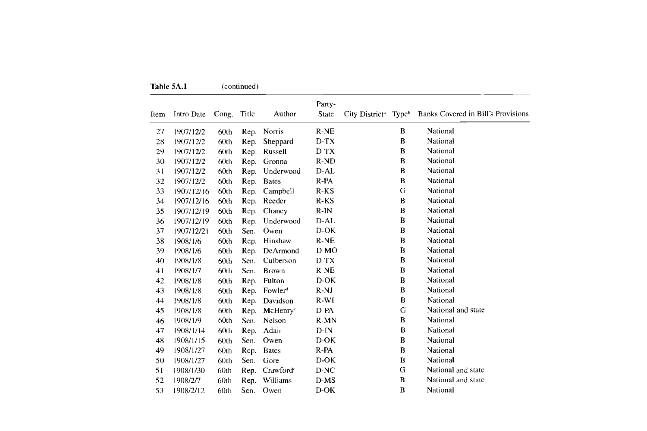| Item | Intro Date | Cong. Title      |      | Author                | Party-<br>State | City District <sup>a</sup> Type <sup>b</sup> |   | Banks Covered in Bill's Provisions |
|------|------------|------------------|------|-----------------------|-----------------|----------------------------------------------|---|------------------------------------|
| 27   | 1907/12/2  | 60th             | Rep. | Norris                | $R-NE$          |                                              | B | National                           |
| 28   | 1907/12/2  | 60th             | Rep. | Sheppard              | $D-TX$          |                                              | B | National                           |
| 29   | 1907/12/2  | 60th             | Rep. | Russell               | $D-TX$          |                                              | B | National                           |
| 30   | 1907/12/2  | 60th             | Rep. | Gronna                | $R-ND$          |                                              | в | National                           |
| 31   | 1907/12/2  | 60th             | Rep. | Underwood             | D-AL            |                                              | B | National                           |
| 32   | 1907/12/2  | 60th             | Rep. | <b>Bates</b>          | $R-PA$          |                                              | B | National                           |
| 33   | 1907/12/16 | 60th             | Rep. | Campbell              | $R-KS$          |                                              | G | National                           |
| 34   | 1907/12/16 | 60th             | Rep. | Reeder                | $R-KS$          |                                              | B | National                           |
| 35   | 1907/12/19 | 60th             | Rep. | Chaney                | $R-IN$          |                                              | B | National                           |
| 36   | 1907/12/19 | 60th             | Rep. | Underwood             | D-AL            |                                              | B | National                           |
| 37   | 1907/12/21 | 60th             | Sen. | Owen                  | $D-OK$          |                                              | в | National                           |
| 38   | 1908/1/6   | 60th             | Rep. | Hinshaw               | $R-NE$          |                                              | B | National                           |
| 39   | 1908/1/6   | 60th             | Rep. | DeArmond              | $D-MO$          |                                              | в | National                           |
| 40   | 1908/1/8   | 60th             | Sen. | Culberson             | $D-TX$          |                                              | B | National                           |
| 41   | 1908/1/7   | 60th             | Sen. | <b>Brown</b>          | $R-NE$          |                                              | B | National                           |
| 42   | 1908/1/8   | 60th             | Rep. | Fulton                | $D-OK$          |                                              | B | National                           |
| 43   | 1908/1/8   | 60th             | Rep. | Fowler <sup>d</sup>   | $R-NJ$          |                                              | B | National                           |
| 44   | 1908/1/8   | 60th             | Rep. | Davidson              | R-WI            |                                              | B | National                           |
| 45   | 1908/1/8   | 60th             | Rep. | McHenry <sup>c</sup>  | D-PA            |                                              | G | National and state                 |
| 46   | 1908/1/9   | 60th             | Sen. | Nelson                | $R-MN$          |                                              | B | National                           |
| 47   | 1908/1/14  | 60th             | Rep. | Adair                 | $D$ -IN         |                                              | B | National                           |
| 48   | 1908/1/15  | 60th             | Sen. | Owen                  | $D-OK$          |                                              | B | National                           |
| 49   | 1908/1/27  | 60th             | Rep. | <b>Bates</b>          | R-PA            |                                              | B | National                           |
| 50   | 1908/1/27  | 60th             | Sen. | Gore                  | $D-OK$          |                                              | B | National                           |
| 51   | 1908/1/30  | 60th             | Rep. | Crawford <sup>c</sup> | $D-NC$          |                                              | G | National and state                 |
| 52   | 1908/2/7   | 60th             |      | Rep. Williams         | $D-MS$          |                                              | B | National and state                 |
| 53   | 1908/2/12  | 60 <sub>th</sub> | Sen. | Owen                  | $D-OK$          |                                              | B | National                           |

**Table 5A.1** (continued)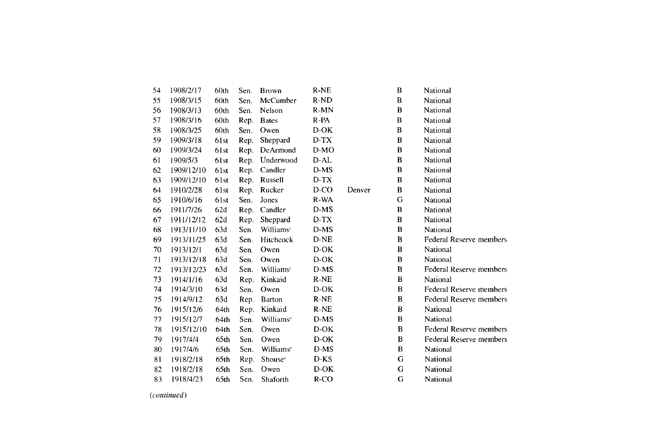| 54 | 1908/2/17  | 60 <sub>th</sub> | Sen. | <b>Brown</b>          | $R-NE$  |        | B        | National                       |
|----|------------|------------------|------|-----------------------|---------|--------|----------|--------------------------------|
| 55 | 1908/3/15  | 60 <sub>th</sub> | Sen. | McCumber              | $R-ND$  |        | B        | National                       |
| 56 | 1908/3/13  | 60th             | Sen. | Nelson                | $R-MN$  |        | В        | National                       |
| 57 | 1908/3/16  | 60 <sub>th</sub> | Rep. | <b>Bates</b>          | $R$ -PA |        | B        | National                       |
| 58 | 1908/3/25  | 60 <sub>th</sub> | Sen. | Owen                  | $D-OK$  |        | B        | National                       |
| 59 | 1909/3/18  | 61st             | Rep. | Sheppard              | $D-TX$  |        | B        | National                       |
| 60 | 1909/3/24  | 61st             | Rep. | DeArmond              | $D-MO$  |        | B        | National                       |
| 61 | 1909/5/3   | 61st             |      | Rep. Underwood        | D-AL    |        | B        | National                       |
| 62 | 1909/12/10 | 61st             | Rep. | Candler               | D-MS    |        | B        | National                       |
| 63 | 1909/12/10 | 61st             |      | Rep. Russell          | D-TX    |        | B        | National                       |
| 64 | 1910/2/28  | 61 <sub>st</sub> | Rep. | Rucker                | D-CO    | Denver | B        | National                       |
| 65 | 1910/6/16  | 61st             | Sen. | Jones                 | $R-WA$  |        | G        | National                       |
| 66 | 1911/7/26  | 62d              | Rep. | Candler               | D-MS    |        | B        | National                       |
| 67 | 1911/12/12 | 62d              | Rep. | Sheppard              | $D-TX$  |        | B        | National                       |
| 68 | 1913/11/10 | 63d              | Sen. | Williams <sup>c</sup> | D-MS    |        | B        | National                       |
| 69 | 1913/11/25 | 63d              | Sen. | Hitchcock             | $D-NE$  |        | B        | Federal Reserve members        |
| 70 | 1913/12/1  | 63d              | Sen. | Owen                  | $D-OK$  |        | B        | National                       |
| 71 | 1913/12/18 | 63d              | Sen. | Owen                  | $D-OK$  |        | B        | National                       |
| 72 | 1913/12/23 | 63d              | Sen. | Williams <sup>e</sup> | D-MS    |        | B        | Federal Reserve members        |
| 73 | 1914/1/16  | 63d              | Rep. | Kinkaid               | R-NE    |        | B        | National                       |
| 74 | 1914/3/10  | 63d              | Sen. | Owen                  | $D-OK$  |        | B        | Federal Reserve members        |
| 75 | 1914/9/12  | 63d              | Rep. | <b>Barton</b>         | $R-NE$  |        | $\bf{B}$ | Federal Reserve members        |
| 76 | 1915/12/6  | 64th             | Rep. | Kinkaid               | $R-NE$  |        | B        | National                       |
| 77 | 1915/12/7  | 64th             | Sen. | Williams <sup>e</sup> | $D-MS$  |        | B        | National                       |
| 78 | 1915/12/10 | 64th             | Sen. | Owen                  | $D-OK$  |        | B        | <b>Federal Reserve members</b> |
| 79 | 1917/4/4   | 65th             | Sen. | Owen                  | $D-OK$  |        | B        | Federal Reserve members        |
| 80 | 1917/4/6   | 65th             | Sen. | Williams <sup>e</sup> | $D-MS$  |        | B        | National                       |
| 81 | 1918/2/18  | 65th             | Rep. | Shouse <sup>c</sup>   | $D-KS$  |        | G        | National                       |
| 82 | 1918/2/18  | 65th             | Sen. | Owen                  | $D-OK$  |        | G        | National                       |
| 83 | 1918/4/23  | 65th             | Sen. | Shaforth              | $R-CO$  |        | G        | National                       |

*(continued)*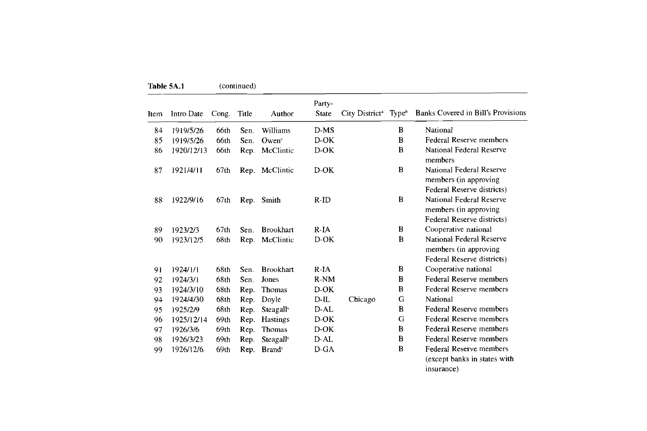|      | Table 5A.1 |                   | (continued) |                       |                        |                                              |   |                                                                                 |
|------|------------|-------------------|-------------|-----------------------|------------------------|----------------------------------------------|---|---------------------------------------------------------------------------------|
| Item | Intro Date | Cong.             | Title       | Author                | Party-<br><b>State</b> | City District <sup>a</sup> Type <sup>b</sup> |   | Banks Covered in Bill's Provisions                                              |
| 84   | 1919/5/26  | 66th              | Sen.        | Williams              | $D-MS$                 |                                              | B | <b>National</b>                                                                 |
| 85   | 1919/5/26  | 66th              | Sen.        | Owen <sup>c</sup>     | $D-OK$                 |                                              | B | Federal Reserve members                                                         |
| 86   | 1920/12/13 | 66th              | Rep.        | McClintic             | $D-OK$                 |                                              | B | National Federal Reserve<br>members                                             |
| 87   | 1921/4/11  | 67th              |             | Rep. McClintic        | $D-OK$                 |                                              | B | National Federal Reserve<br>members (in approving)                              |
| 88   | 1922/9/16  | 67th              |             | Rep. Smith            | $R$ - $ID$             |                                              | B | Federal Reserve districts)<br>National Federal Reserve<br>members (in approving |
| 89   | 1923/2/3   | 67th              | Sen.        | <b>Brookhart</b>      | $R-IA$                 |                                              | B | Federal Reserve districts)<br>Cooperative national                              |
| 90   | 1923/12/5  | 68 <sub>1</sub> h | Rep.        | McClintic             | $D-OK$                 |                                              | B | National Federal Reserve                                                        |
|      |            |                   |             |                       |                        |                                              |   | members (in approving)<br>Federal Reserve districts)                            |
| 91   | 1924/1/1   | 68th              | Sen.        | <b>Brookhart</b>      | $R$ - $IA$             |                                              | B | Cooperative national                                                            |
| 92   | 1924/3/1   | 68th              | Sen.        | Jones                 | $R-NM$                 |                                              | B | Federal Reserve members                                                         |
| 93   | 1924/3/10  | 68th              | Rep.        | Thomas                | $D-OK$                 |                                              | B | Federal Reserve members                                                         |
| 94   | 1924/4/30  | 68th              | Rep.        | Doyle                 | $D$ -IL                | Chicago                                      | G | National                                                                        |
| 95   | 1925/2/9   | 68th              | Rep.        | Steagall <sup>c</sup> | $D-AL$                 |                                              | B | Federal Reserve members                                                         |
| 96   | 1925/12/14 | 69th              | Rep.        | <b>Hastings</b>       | $D-OK$                 |                                              | G | Federal Reserve members                                                         |
| 97   | 1926/3/6   | 69th              | Rep.        | Thomas                | $D-OK$                 |                                              | B | Federal Reserve members                                                         |
| 98   | 1926/3/23  | 69th              | Rep.        | Steagal <sup>c</sup>  | $D-AL$                 |                                              | B | Federal Reserve members                                                         |
| 99   | 1926/12/6  | 69th              | Rep.        | Brand <sup>c</sup>    | $D-GA$                 |                                              | B | <b>Federal Reserve members</b><br>(except banks in states with<br>insurance)    |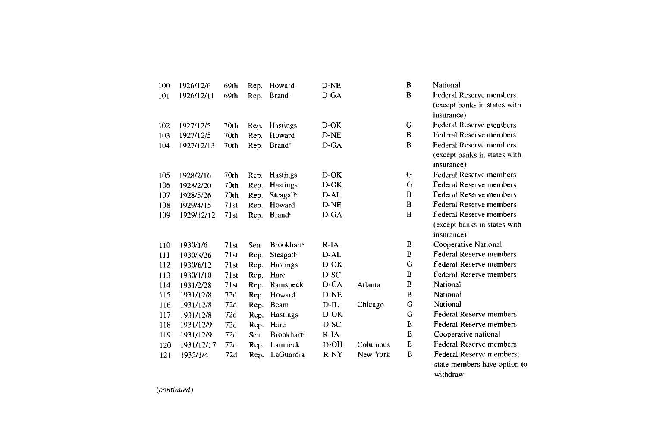| 100 | 1926/12/6  | 69th             |      | Rep. Howard                   | $D-NE$  |          | B        | National                     |
|-----|------------|------------------|------|-------------------------------|---------|----------|----------|------------------------------|
| 101 | 1926/12/11 | 69th             | Rep. | <b>Brand</b> <sup>c</sup>     | $D-GA$  |          | B        | Federal Reserve members      |
|     |            |                  |      |                               |         |          |          | (except banks in states with |
|     |            |                  |      |                               |         |          |          | insurance)                   |
| 102 | 1927/12/5  | 70 <sub>th</sub> | Rep. | <b>Hastings</b>               | $D-OK$  |          | G        | Federal Reserve members      |
| 103 | 1927/12/5  | 70th             | Rep. | Howard                        | $D-NE$  |          | B        | Federal Reserve members      |
| 104 | 1927/12/13 | 70 <sub>th</sub> | Rep. | <b>Brand</b> <sup>c</sup>     | $D$ -GA |          | $\bf{B}$ | Federal Reserve members      |
|     |            |                  |      |                               |         |          |          | (except banks in states with |
|     |            |                  |      |                               |         |          |          | insurance)                   |
| 105 | 1928/2/16  | 70 <sub>th</sub> | Rep. | <b>Hastings</b>               | $D-OK$  |          | G        | Federal Reserve members      |
| 106 | 1928/2/20  | 70 <sub>th</sub> | Rep. | <b>Hastings</b>               | $D-OK$  |          | G        | Federal Reserve members      |
| 107 | 1928/5/26  | 70 <sub>th</sub> | Rep. | Steagall <sup>c</sup>         | $D-AL$  |          | В        | Federal Reserve members      |
| 108 | 1929/4/15  | 71st             | Rep. | Howard                        | $D-NE$  |          | B        | Federal Reserve members      |
| 109 | 1929/12/12 | 71st             | Rep. | <b>Brand</b> <sup>c</sup>     | $D-GA$  |          | B        | Federal Reserve members      |
|     |            |                  |      |                               |         |          |          | (except banks in states with |
|     |            |                  |      |                               |         |          |          | insurance)                   |
| 110 | 1930/1/6   | 71st             | Sen. | <b>Brookhart</b> <sup>c</sup> | $R-IA$  |          | B        | Cooperative National         |
| 111 | 1930/3/26  | 7 I st           | Rep. | Steagall <sup>c</sup>         | $D-AL$  |          | B        | Federal Reserve members      |
| 112 | 1930/6/12  | 71st             | Rep. | <b>Hastings</b>               | $D-OK$  |          | G        | Federal Reserve members      |
| 113 | 1930/1/10  | 71st             | Rep. | Hare                          | $D-SC$  |          | B        | Federal Reserve members      |
| 114 | 1931/2/28  | 71st             | Rep. | Ramspeck                      | $D$ -GA | Atlanta  | B        | National                     |
| 115 | 1931/12/8  | 72d              | Rep. | Howard                        | $D-NE$  |          | В        | National                     |
| 116 | 1931/12/8  | 72d              | Rep. | Beam                          | $D$ -IL | Chicago  | G        | National                     |
| 117 | 1931/12/8  | 72d              |      | Rep. Hastings                 | $D-OK$  |          | G        | Federal Reserve members      |
| 118 | 1931/12/9  | 72d              | Rep. | Hare                          | $D-SC$  |          | В        | Federal Reserve members      |
| 119 | 1931/12/9  | 72d              | Sen. | <b>Brookhart</b> <sup>c</sup> | $R-IA$  |          | B        | Cooperative national         |
| 120 | 1931/12/17 | 72d              | Rep. | Lamneck                       | $D-OH$  | Columbus | B        | Federal Reserve members      |
| 121 | 1932/1/4   | 72d              | Rep. | LaGuardia                     | $R-NY$  | New York | B        | Federal Reserve members:     |
|     |            |                  |      |                               |         |          |          | state members have option to |

withdraw

*(continued)*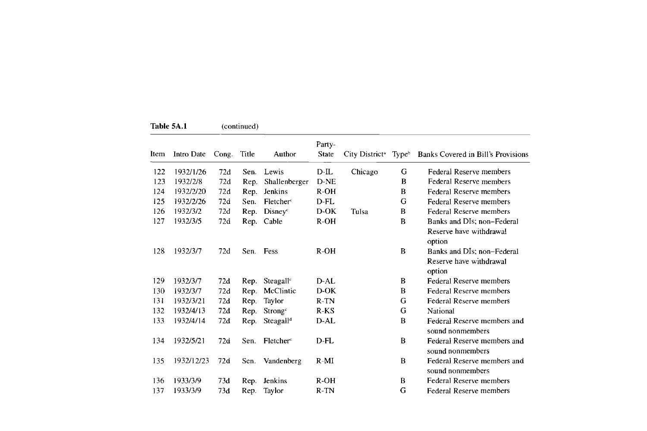| Item | Intro Date | Cong. | Title | Author                | Party-<br>State | City District <sup>®</sup> | Type <sup>b</sup> | Banks Covered in Bill's Provisions                              |
|------|------------|-------|-------|-----------------------|-----------------|----------------------------|-------------------|-----------------------------------------------------------------|
| 122  | 1932/1/26  | 72d   |       | Sen. Lewis            | $D$ -IL         | Chicago                    | G                 | Federal Reserve members                                         |
| 123  | 1932/2/8   | 72d   | Rep.  | Shallenberger         | D-NE            |                            | B                 | Federal Reserve members                                         |
| 124  | 1932/2/20  | 72d   | Rep.  | Jenkins               | $R-OH$          |                            | B                 | <b>Federal Reserve members</b>                                  |
| 125  | 1932/2/26  | 72d   | Sen.  | Fletcher®             | D-FL            |                            | G                 | <b>Federal Reserve members</b>                                  |
| 126  | 1932/3/2   | 72d   | Rep.  | Disney <sup>c</sup>   | $D-OK$          | Tulsa                      | B                 | <b>Federal Reserve members</b>                                  |
| 127  | 1932/3/5   | 72d   |       | Rep. Cable            | $R-OH$          |                            | B                 | Banks and DIs; non-Federal<br>Reserve have withdrawal<br>option |
| 128  | 1932/3/7   | 72d   | Sen.  | Fess                  | $R-OH$          |                            | B                 | Banks and DIs: non-Federal<br>Reserve have withdrawal<br>option |
| 129  | 1932/3/7   | 72d   | Rep.  | Steagall <sup>c</sup> | D-AL            |                            | B                 | <b>Federal Reserve members</b>                                  |
| 130  | 1932/3/7   | 72d   | Rep.  | McClintic             | $D-OK$          |                            | B                 | <b>Federal Reserve members</b>                                  |
| 131  | 1932/3/21  | 72d   | Rep.  | Taylor                | $R-TN$          |                            | G                 | Federal Reserve members                                         |
| 132  | 1932/4/13  | 72d   | Rep.  | Strong <sup>c</sup>   | $R-KS$          |                            | G                 | National                                                        |
| 133  | 1932/4/14  | 72d   | Rep.  | Steagall <sup>d</sup> | D-AL            |                            | B                 | Federal Reserve members and<br>sound nonmembers                 |
| 134  | 1932/5/21  | 72d   | Sen.  | Fletcher <sup>c</sup> | D-FL            |                            | B                 | Federal Reserve members and<br>sound nonmembers                 |
| 135  | 1932/12/23 | 72d   | Sen.  | Vandenberg            | $R-MI$          |                            | B                 | Federal Reserve members and<br>sound nonmembers                 |
| 136  | 1933/3/9   | 73d   | Rep.  | Jenkins               | $R-OH$          |                            | B                 | Federal Reserve members                                         |
| 137  | 1933/3/9   | 73d   | Rep.  | Taylor                | $R-TN$          |                            | G                 | Federal Reserve members                                         |
|      |            |       |       |                       |                 |                            |                   |                                                                 |

**Table 5A.1** (continued)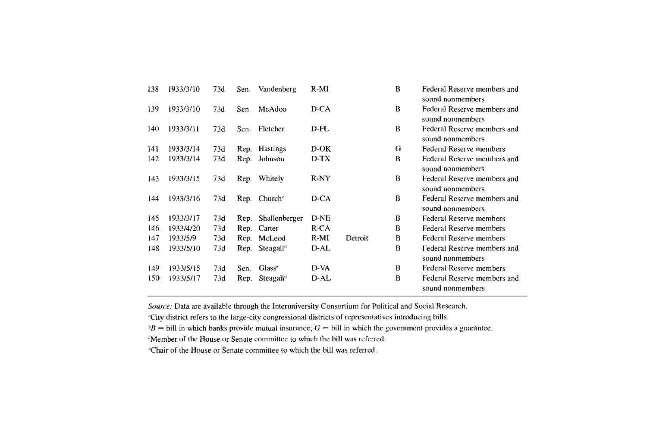| 138 | 1933/3/10 | 73d | Sen. | Vandenberg                           | R-MI    |         | B | Federal Reserve members and<br>sound nonmembers |
|-----|-----------|-----|------|--------------------------------------|---------|---------|---|-------------------------------------------------|
| 139 | 1933/3/10 | 73d | Sen. | McAdoo                               | $D-CA$  |         | B | Federal Reserve members and<br>sound nonmembers |
| 140 | 1933/3/11 | 73d | Sen. | Fletcher                             | D-FL    |         | B | Federal Reserve members and<br>sound nonmembers |
| 141 | 1933/3/14 | 73d | Rep. | <b>Hastings</b>                      | D-OK    |         | G | Federal Reserve members                         |
| 142 | 1933/3/14 | 73d | Rep. | Johnson                              | D-TX    |         | B | Federal Reserve members and<br>sound nonmembers |
| 143 | 1933/3/15 | 73d |      | Rep. Whitely                         | $R-NY$  |         | B | Federal Reserve members and<br>sound nonmembers |
| 144 | 1933/3/16 | 73d |      | $\mathsf{Rep}$ . Church <sup>e</sup> | D-CA    |         | B | Federal Reserve members and<br>sound nonmembers |
| 145 | 1933/3/17 | 73d |      | Rep. Shallenberger                   | $D-NE$  |         | B | Federal Reserve members                         |
| 146 | 1933/4/20 | 73d | Rep. | Carter                               | $R$ -CA |         | B | Federal Reserve members                         |
| 147 | 1933/5/9  | 73d | Rep. | McLeod                               | $R-MI$  | Detroit | B | Federal Reserve members                         |
| 148 | 1933/5/10 | 73d | Rep. | Steagall <sup>d</sup>                | D-AL    |         | В | Federal Reserve members and<br>sound nonmembers |
| 149 | 1933/5/15 | 73d | Sen. | Glass <sup>e</sup>                   | D-VA    |         | B | Federal Reserve members                         |
| 150 | 1933/5/17 | 73d | Rep. | Steagall <sup>d</sup>                | $D-AL$  |         | B | Federal Reserve members and<br>sound nonmembers |

*Source:* Data are available through the Interuniversity Consortium for Political and Social Research.

"City district refers to the large-city congressional districts of representatives introducing bills.

 $b = b$  **bill** in which banks provide mutual insurance;  $G = \text{bill}$  in which the government provides a guarantee.

'Member of the House or Senate committee to which the bill was referred.

<sup>d</sup>Chair of the House or Senate committee to which the bill was referred.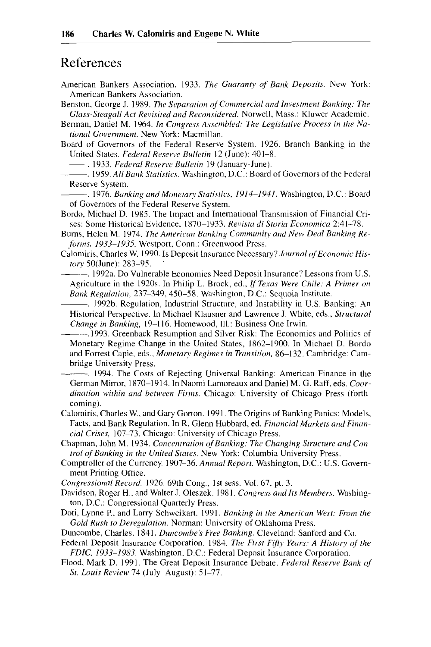## References

- American Bankers Association. 1933. *The Guaranty of Bank Deposits.* New York: American Bankers Association.
- Benston, George J. 1989. *The Separation of Commercial and Investment Banking: The Glass-Steagall Act Revisited and Reconsidered.* Norwell, Mass.: Kluwer Academic.

Berman, Daniel M. 1964. *In Congress Assambled: The Legislative Process in the National Government.* New York: Macmillan.

Board of Governors of the Federal Reserve System. 1926. Branch Banking in the United States. *Federal Reserve Bulletin* 12 (June): 401-8.

. 1933. *Federal Reserve Bulletin* 19 (January-June).

. IYSY. *All BankStaristics.* Washington, D.C.: Board of Governors of the Federal Reserve System.

. 1976. *Banking and Monetuv Statistics, 1914-1941.* Washington, D.C.: Board of Governors of the Federal Reserve System.

Bordo, Michael D. 1985. The Impact and International Transmission of Financial Crises: Some Historical Evidence, 1870-1 933. *Revistu di Sroria Economica* 2:41-78.

Bums, Helen M. 1974. *The American Banking Communiv and New Deal Banking Re*forms, 1933-1935. Westport, Conn.: Greenwood Press.

Calomiris, Charles W. 1990. **Is** Deposit Insurance Necessary? *Journal of Economic History* 50(June): 283-95.

. 1992a. Do Vulnerable Economies Need Deposit Insurance? Lessons from U.S. Agriculture in the 1920s. In Philip L. Brock, ed., *If Texas Were Chile: A Primer on Bank Regulation,* 237-349, 450-58. Washington, D.C.: Sequoia Institute.

. 1992b. Regulation, Industrial Structure, and Instability in U.S. Banking: An Historical Perspective. In Michael Klausner and Lawrence **J.** White, eds., *Structural Change in Banking.* 19-1 16. Homewood, **111.:** Business One Irwin.

,1993. Greenback Resumption and Silver Risk: The Economics and Politics of Monetary Regime Change in the United States, 1862-1900. In Michael D. Bordo and Forrest Capie, eds., *Monetav Regimes in Transition,* 86-1 *32.* Cambridge: Cambridge University Press.

. 1994. The Costs of Rejecting Universal Banking: American Finance in the German Mirror, 1870-1914. In Naomi Lamoreaux and Daniel M. G. Raff, eds. *Coordination within and between Firms.* Chicago: University of Chicago Press (forthcoming).

- Calomiris, Charles W., and Gary Gorton. 199 1. The Origins of Banking Panics: Models, Facts, and Bank Regulation. In R. Glenn Hubbard, ed. *Financial Markets and Financial Crises,* 107-73. Chicago: University of Chicago Press.
- Chapman, John M. 1934. *Concentration of Banking: The Changing Structure and Conrrol ofBanking in the United States.* New York: Columbia University Press.
- Comptroller of the Currency. 1907-36. *Annual Report.* Washington, D.C.: U.S. Government Printing Office.

*Congressional Record.* 1926. 69th Cong., 1st sess. Vol. 67, pt. 3.

- Davidson, Roger H., and Walter J. Oleszek. 198 1. *Congress and Its Members.* Washington, D.C.: Congressional Quarterly Press.
- Doti, Lynne P., and Larry Schweikart. 1991. *Banking in the American West: From the Gold Rush to Deregulation.* Norman: University of Oklahoma Press.
- Duncombe, Charles. 1841. *Duncornbe's Free Banking.* Cleveland: Sanford and Co.
- Federal Deposit Insurance Corporation. 1984. *The First Fifty Years: A History of the FDIC, 1933-1983.* Washington, D.C.: Federal Deposit Insurance Corporation.
- Flood, Mark D. 199 1. The Great Deposit Insurance Debate. *Federal Reserve Bank* of *St. Louis Review* 74 (July-August): 51-77.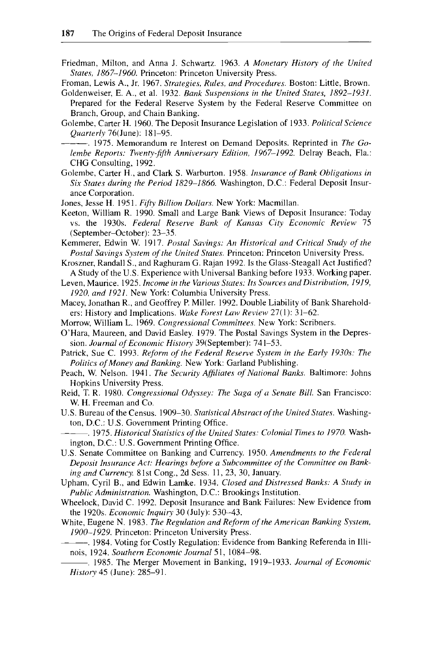Friedman, Milton, and Anna J. Schwartz. 1963. *A Monetary History* of *the United*  States, 1867-1960. Princeton: Princeton University Press.

Froman, Lewis **A.,** Jr. 1967. *Strategies, Rules, and Procedures.* Boston: Little, Brown.

- Goldenweiser, E. A., et al. 1932. *Bank Suspensions in the United States, 1892-1931.*  Prepared for the Federal Reserve System by the Federal Reserve Committee on Branch, Group, and Chain Banking.
- Golembe, Carter H. 1960. The Deposit Insurance Legislation of 1933. *Political Science Quarterly* 76(June): I8 1-95.

. 1975. Memorandum re Interest on Demand Deposits. Reprinted in *The Go*lembe Reports: Twenty-fifth Anniversary Edition, 1967-1992. Delray Beach, Fla.: CHG Consulting, 1992.

- Golembe, Carter H., and Clark S. Warburton. 1958. *Insurance of Bank Obligations in Six States during the Period 1829-1866.* Washington, D.C.: Federal Deposit Insurance Corporation.
- Jones, Jesse H. 1951. *Fifty Billion Dollars*. New York: Macmillan.
- Keeton, William R. 1990. Small and Large Bank Views of Deposit Insurance: Today vs. the 1930s. *Federal Reserve Bank of Kansas City Economic Review* 75 (September-October): 23-35.
- Kemmerer, Edwin W. 1917. *Postal Savings: An Historical and Critical Study of the Postal Savings System of the United States.* Princeton: Princeton University Press.
- Kroszner, Randall **S.,** and Raghuram G. Rajan 1992. Is the Glass-Steagall Act Justified? **A** Study of the US. Experience with Universal Banking before 1933. Working paper.
- Leven, Maurice. 1925. *Income in the Various States: Its Sources and Distribution, 1919, 1920, and 1921.* New York: Columbia University Press.
- Macey, Jonathan R., and Geoffrey P. Miller. 1992. Double Liability **of** Bank Shareholders: History and Implications. *Wake Forest* Law *Review 27(* 1): 3 1-62.
- Morrow, William L. 1969. *Congressional Committees.* New York: Scribners.
- O'Hara, Maureen, and David Easley. 1979. The Postal Savings System in the Depression. *Journal* of *Economic History* 39(September): 74 1-53.
- Patrick, Sue C. 1993. *Reform* of *the Federal Reserve System in the Early 1930s: The Politics of Money and Banking.* New York: Garland Publishing.
- Peach, W. Nelson. 1941. *The Security Afiliates* of *National Banks.* Baltimore: Johns Hopkins University Press.
- Reid, T. R. 1980. *Congressional Odyssey: The Saga of a Senate Bill.* San Francisco: W. H. Freeman and Co.
- U.S. Bureau of the Census. 1909-30. *Statistical Abstract* of *the United States.* Washington, D.C.: U.S. Government Printing Office.
- . 1975. *Historical Statistics of the United States: Colonial Times to 1970.* Washington, D.C.: U.S. Government Printing Office.
- U.S. Senate Committee on Banking and Currency. 1950. *Amendments to the Federal Deposit Insurance Act: Hearings before a Subcommittee* of *the Committee on Banking and Currency.* 8 **1st** Cong., 2d Sess. 11, 23, 30, January.
- Upham, Cyril B., and Edwin Lamke. 1934. *Closed and Distressed Banks: A Study in Public Administration.* Washington, D.C.: Brookings Institution.
- Wheelock, David C. 1992. Deposit Insurance and Bank Failures: New Evidence from the 1920s. *Economic Inquiry* 30 (July): 530-43.
- White, Eugene N. 1983. *The Regulation and Reform of the American Banking System, 1900-1 929.* Princeton: Princeton University Press.
- . 1984. Voting for Costly Regulation: Evidence from Banking Referenda in Illinois, 1924. *Southern Economic Journal* 5 1, 1084-98.
- , 1985. The Merger Movement in Banking, 1919-1933. *Journal* of *Economic History* 45 (June): 285-9 I.